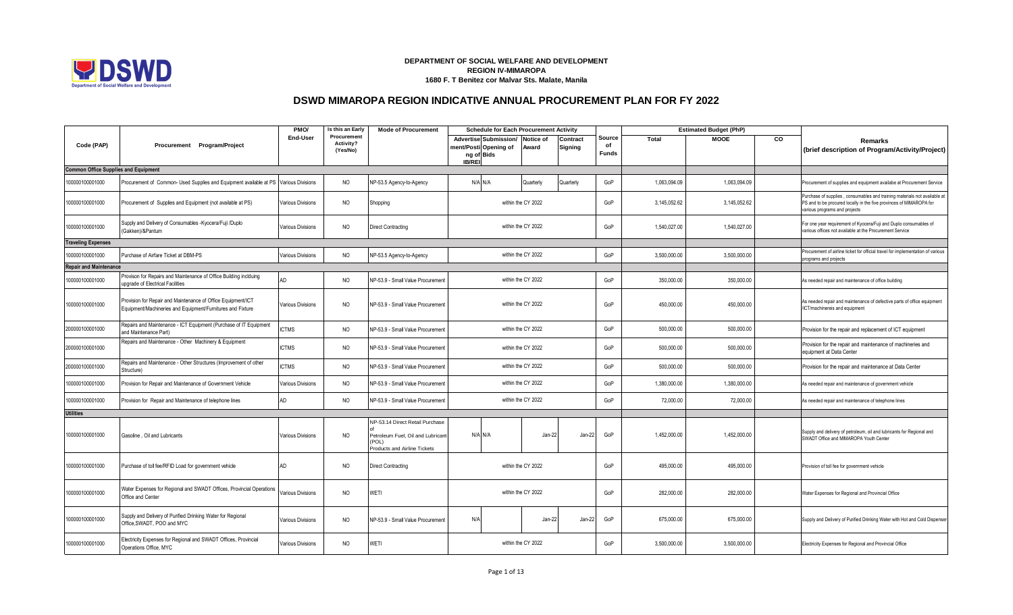

## **DEPARTMENT OF SOCIAL WELFARE AND DEVELOPMENT REGION IV-MIMAROPA 1680 F. T Benitez cor Malvar Sts. Malate, Manila**

## **DSWD MIMAROPA REGION INDICATIVE ANNUAL PROCUREMENT PLAN FOR FY 2022**

|                                             |                                                                                                                            | PMO/                     | Is this an Early                            | <b>Mode of Procurement</b>                                                                                           | <b>Schedule for Each Procurement Activity</b>                                           |                    |                     |                                     |              | <b>Estimated Budget (PhP)</b> |    |                                                                                                                                                                                   |
|---------------------------------------------|----------------------------------------------------------------------------------------------------------------------------|--------------------------|---------------------------------------------|----------------------------------------------------------------------------------------------------------------------|-----------------------------------------------------------------------------------------|--------------------|---------------------|-------------------------------------|--------------|-------------------------------|----|-----------------------------------------------------------------------------------------------------------------------------------------------------------------------------------|
| Code (PAP)                                  | Procurement Program/Project                                                                                                | End-User                 | Procurement<br><b>Activity?</b><br>(Yes/No) |                                                                                                                      | Advertise Submission/ Notice of<br>ment/Posti Opening of<br>ng of Bids<br><b>IB/REI</b> | Award              | Contract<br>Signing | <b>Source</b><br>of<br><b>Funds</b> | <b>Total</b> | <b>MOOE</b>                   | CO | Remarks<br>(brief description of Program/Activity/Project)                                                                                                                        |
| <b>Common Office Supplies and Equipment</b> |                                                                                                                            |                          |                                             |                                                                                                                      |                                                                                         |                    |                     |                                     |              |                               |    |                                                                                                                                                                                   |
| 100000100001000                             | Procurement of Common- Used Supplies and Equipment available at PS Various Divisions                                       |                          | NO                                          | NP-53.5 Agency-to-Agency                                                                                             | N/A N/A                                                                                 | Quarterly          | Quarterly           | GoP                                 | 1,063,094.09 | 1,063,094.09                  |    | Procurement of supplies and equipment availabe at Procurement Service                                                                                                             |
| 100000100001000                             | Procurement of Supplies and Equipment (not available at PS)                                                                | <b>Various Divisions</b> | <b>NO</b>                                   | Shopping                                                                                                             |                                                                                         | within the CY 2022 |                     | GoP                                 | 3,145,052.62 | 3,145,052.62                  |    | Purchase of supplies, consumables and training materials not available at<br>PS and to be procured locally in the five provinces of MIMAROPA for<br>various programs and projects |
| 100000100001000                             | Supply and Delivery of Consumables -Kyocera/Fuji /Duplo<br>Gakken)/&Pantum                                                 | √arious Divisions        | <b>NO</b>                                   | <b>Direct Contracting</b>                                                                                            |                                                                                         | within the CY 2022 |                     | GoP                                 | 1,540,027.00 | 1,540,027.00                  |    | For one year requirement of Kyocera/Fuji and Duplo consumables of<br>various offices not available at the Procurement Service                                                     |
| <b>Traveling Expenses</b>                   |                                                                                                                            |                          |                                             |                                                                                                                      |                                                                                         |                    |                     |                                     |              |                               |    |                                                                                                                                                                                   |
| 100000100001000                             | Purchase of Airfare Ticket at DBM-PS                                                                                       | Various Divisions        | <b>NO</b>                                   | NP-53.5 Agency-to-Agency                                                                                             |                                                                                         | within the CY 2022 |                     | GoP                                 | 3.500.000.00 | 3.500.000.00                  |    | Procurement of airline ticket for official travel for implementation of various<br>programs and projects                                                                          |
| <b>Repair and Maintenance</b>               |                                                                                                                            |                          |                                             |                                                                                                                      |                                                                                         |                    |                     |                                     |              |                               |    |                                                                                                                                                                                   |
| 100000100001000                             | Provison for Repairs and Maintenance of Office Building inclduing<br>upgrade of Electrical Facilities                      | AD                       | <b>NO</b>                                   | NP-53.9 - Small Value Procurement                                                                                    |                                                                                         | within the CY 2022 |                     | GoP                                 | 350,000.00   | 350,000.00                    |    | As needed repair and maintenance of office building                                                                                                                               |
| 100000100001000                             | Provision for Repair and Maintenance of Office Equipment/ICT<br>Equipment/Machineries and Equipment/Furnitures and Fixture | <b>Various Divisions</b> | <b>NO</b>                                   | NP-53.9 - Small Value Procurement                                                                                    |                                                                                         | within the CY 2022 |                     | GoP                                 | 450,000.00   | 450,000.00                    |    | As needed repair and maintenance of defective parts of office equipment<br>/ICT/machinereis and equipment                                                                         |
| 200000100001000                             | Repairs and Maintenance - ICT Equipment (Purchase of IT Equipment<br>and Maintenance Part)                                 | <b>CTMS</b>              | <b>NO</b>                                   | NP-53.9 - Small Value Procurement                                                                                    |                                                                                         | within the CY 2022 |                     | GoP                                 | 500,000.00   | 500,000.00                    |    | Provision for the repair and replacement of ICT equipment                                                                                                                         |
| 200000100001000                             | Repairs and Maintenance - Other Machinery & Equipment                                                                      | <b>ICTMS</b>             | NO                                          | NP-53.9 - Small Value Procurement                                                                                    |                                                                                         | within the CY 2022 |                     | GoP                                 | 500,000.00   | 500,000.00                    |    | Provision for the repair and maintenance of machineries and<br>equipment at Data Center                                                                                           |
| 200000100001000                             | Repairs and Maintenance - Other Structures (Improvement of other<br>Structure)                                             | <b>CTMS</b>              | <b>NO</b>                                   | NP-53.9 - Small Value Procurement                                                                                    |                                                                                         | within the CY 2022 |                     | GoP                                 | 500,000.00   | 500,000.00                    |    | Provision for the repair and maintenance at Data Center                                                                                                                           |
| 100000100001000                             | Provision for Repair and Maintenance of Government Vehicle                                                                 | <b>Various Divisions</b> | <b>NO</b>                                   | NP-53.9 - Small Value Procurement                                                                                    |                                                                                         | within the CY 2022 |                     | GoP                                 | 1,380,000.00 | 1,380,000.00                  |    | As needed repair and maintenance of government vehicle                                                                                                                            |
| 100000100001000                             | Provision for Repair and Maintenance of telephone lines                                                                    | AD                       | <b>NO</b>                                   | NP-53.9 - Small Value Procurement                                                                                    |                                                                                         | within the CY 2022 |                     | GoP                                 | 72,000.00    | 72,000.00                     |    | As needed repair and maintenance of telephone lines                                                                                                                               |
| <b>Utilities</b>                            |                                                                                                                            |                          |                                             |                                                                                                                      |                                                                                         |                    |                     |                                     |              |                               |    |                                                                                                                                                                                   |
| 100000100001000                             | Gasoline, Oil and Lubricants                                                                                               | <b>Various Divisions</b> | <b>NO</b>                                   | NP-53.14 Direct Retail Purchase<br>Petroleum Fuel, Oil and Lubricant<br>(POL)<br><b>Products and Airline Tickets</b> | N/A N/A                                                                                 | Jan-22             | Jan-22              | GoP                                 | 1,452,000.00 | 1,452,000.00                  |    | Supply and delivery of petroleum, oil and lubricants for Regional and<br>SWADT Office and MIMAROPA Youth Center                                                                   |
| 100000100001000                             | Purchase of toll fee/RFID Load for government vehicle                                                                      | AD                       | <b>NO</b>                                   | <b>Direct Contracting</b>                                                                                            |                                                                                         | within the CY 2022 |                     | GoP                                 | 495,000.00   | 495,000.00                    |    | Provision of toll fee for government vehicle                                                                                                                                      |
| 100000100001000                             | Water Expenses for Regional and SWADT Offices, Provincial Operations<br>Office and Center                                  | arious Divisions         | <b>NO</b>                                   | WETI                                                                                                                 |                                                                                         | within the CY 2022 |                     | GoP                                 | 282,000.00   | 282,000.00                    |    | Water Expenses for Regional and Provincial Office                                                                                                                                 |
| 100000100001000                             | Supply and Delivery of Purified Drinking Water for Regional<br>Office, SWADT, POO and MYC                                  | arious Divisions         | NO                                          | NP-53.9 - Small Value Procurement                                                                                    | N/A                                                                                     | Jan-22             | Jan-22              | GoP                                 | 675,000.00   | 675,000.00                    |    | Supply and Delivery of Purified Drinking Water with Hot and Cold Dispenser                                                                                                        |
| 100000100001000                             | Electricity Expenses for Regional and SWADT Offices, Provincial<br>Operations Office, MYC                                  | Various Divisions        | <b>NO</b>                                   | WETI                                                                                                                 |                                                                                         | within the CY 2022 |                     | GoP                                 | 3,500,000.00 | 3,500,000.00                  |    | Electricity Expenses for Regional and Provincial Office                                                                                                                           |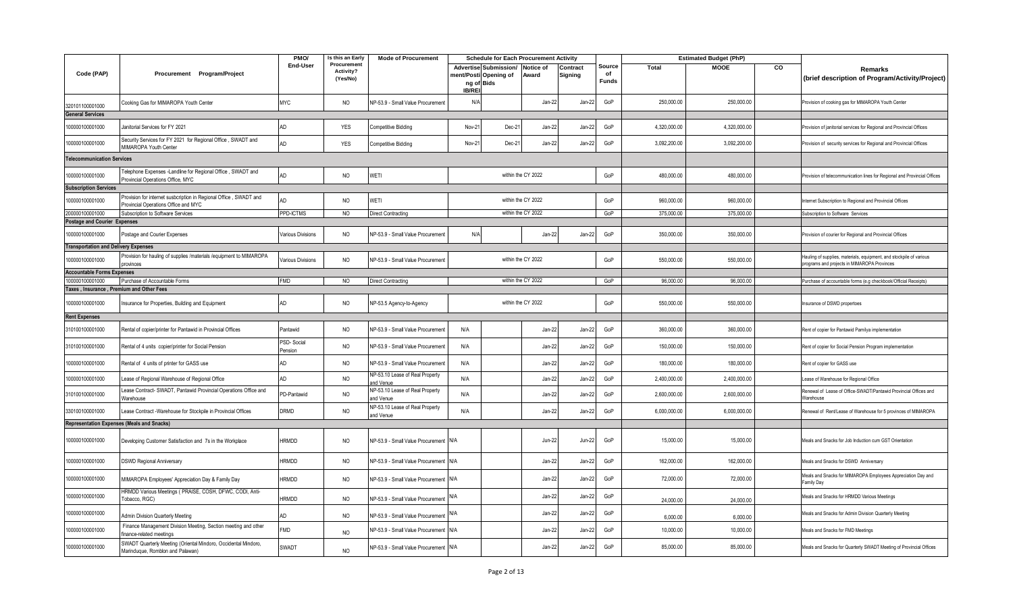|                                             |                                                                                                           | PMO/                  | Is this an Early                     | <b>Mode of Procurement</b>                   |               | <b>Schedule for Each Procurement Activity</b>                          |                    |                     |                              |              | <b>Estimated Budget (PhP)</b> |    |                                                                                                                    |
|---------------------------------------------|-----------------------------------------------------------------------------------------------------------|-----------------------|--------------------------------------|----------------------------------------------|---------------|------------------------------------------------------------------------|--------------------|---------------------|------------------------------|--------------|-------------------------------|----|--------------------------------------------------------------------------------------------------------------------|
| Code (PAP)                                  | Procurement Program/Project                                                                               | End-User              | Procurement<br>Activity?<br>(Yes/No) |                                              | <b>IB/REI</b> | Advertise Submission/ Notice of<br>ment/Posti Opening of<br>ng of Bids | Award              | Contract<br>Signing | Source<br>of<br><b>Funds</b> | Total        | <b>MOOE</b>                   | CO | Remarks<br>(brief description of Program/Activity/Project)                                                         |
| 320101100001000                             | Cooking Gas for MIMAROPA Youth Center                                                                     | <b>MYC</b>            | <b>NO</b>                            | NP-53.9 - Small Value Procurement            | N/A           |                                                                        | Jan-22             | Jan-22              | GoP                          | 250,000.00   | 250,000.00                    |    | Provision of cooking gas for MIMAROPA Youth Center                                                                 |
| <b>General Services</b>                     |                                                                                                           |                       |                                      |                                              |               |                                                                        |                    |                     |                              |              |                               |    |                                                                                                                    |
| 100000100001000                             | Janitorial Services for FY 2021                                                                           | <b>AD</b>             | YES                                  | <b>Competitive Bidding</b>                   | Nov-21        | Dec-2                                                                  | Jan-22             | Jan-22              | GoP                          | 4,320,000.00 | 4,320,000.00                  |    | Provision of janitorial services for Regional and Provincial Offices                                               |
| 100000100001000                             | Security Services for FY 2021 for Regional Office, SWADT and<br>MIMAROPA Youth Center                     | AD                    | <b>YES</b>                           | <b>Competitive Bidding</b>                   | Nov-21        | Dec-2                                                                  | Jan-22             | Jan-22              | GoP                          | 3,092,200.00 | 3,092,200.00                  |    | Provision of security services for Regional and Provincial Offices                                                 |
| <b>Telecommunication Services</b>           |                                                                                                           |                       |                                      |                                              |               |                                                                        |                    |                     |                              |              |                               |    |                                                                                                                    |
| 100000100001000                             | Telephone Expenses -Landline for Regional Office, SWADT and<br>Provincial Operations Office, MYC          | AD                    | NO                                   | WETI                                         |               |                                                                        | within the CY 2022 |                     | GoP                          | 480,000.00   | 480,000.00                    |    | Provision of telecommunication lines for Regional and Provincial Offices                                           |
| <b>Subscription Services</b>                |                                                                                                           |                       |                                      |                                              |               |                                                                        |                    |                     |                              |              |                               |    |                                                                                                                    |
| 100000100001000                             | Provision for internet susbcription in Regional Office, SWADT and<br>Provincial Operations Office and MYC | AD                    | <b>NO</b>                            | WETI                                         |               |                                                                        | within the CY 2022 |                     | GoP                          | 960,000.00   | 960,000.00                    |    | Internet Subscription to Regional and Provincial Offices                                                           |
| 200000100001000                             | Subscription to Software Services                                                                         | PPD-ICTMS             | <b>NO</b>                            | <b>Direct Contracting</b>                    |               |                                                                        | within the CY 2022 |                     | GoP                          | 375,000.00   | 375,000.00                    |    | Subscription to Software Services                                                                                  |
| <b>Postage and Courier Expenses</b>         |                                                                                                           |                       |                                      |                                              |               |                                                                        |                    |                     |                              |              |                               |    |                                                                                                                    |
| 100000100001000                             | Postage and Courier Expenses                                                                              | Various Divisions     | <b>NO</b>                            | NP-53.9 - Small Value Procurement            | N/A           |                                                                        | Jan-22             | Jan-22              | GoP                          | 350,000.00   | 350,000.00                    |    | Provision of courier for Regional and Provincial Offices                                                           |
| <b>Transportation and Delivery Expenses</b> |                                                                                                           |                       |                                      |                                              |               |                                                                        |                    |                     |                              |              |                               |    |                                                                                                                    |
| 100000100001000                             | Provision for hauling of supplies /materials /equipment to MIMAROPA<br>provinces                          | Various Divisions     | NO                                   | NP-53.9 - Small Value Procurement            |               |                                                                        | within the CY 2022 |                     | GoP                          | 550,000.00   | 550,000.00                    |    | Hauling of supplies, materials, equipment, and stockpile of various<br>programs and projects in MIMAROPA Provinces |
| <b>Accountable Forms Expenses</b>           |                                                                                                           |                       |                                      |                                              |               |                                                                        |                    |                     |                              |              |                               |    |                                                                                                                    |
| 100000100001000                             | Purchase of Accountable Forms                                                                             | <b>FMD</b>            | <b>NO</b>                            | <b>Direct Contracting</b>                    |               |                                                                        | within the CY 2022 |                     | GoP                          | 96,000.00    | 96,000.00                     |    | Purchase of accountable forms (e.g checkbook/Official Receipts)                                                    |
| Taxes, Insurance, Premium and Other Fees    |                                                                                                           |                       |                                      |                                              |               |                                                                        |                    |                     |                              |              |                               |    |                                                                                                                    |
| 100000100001000                             | Insurance for Properties, Building and Equipment                                                          | AD                    | <b>NO</b>                            | NP-53.5 Agency-to-Agency                     |               |                                                                        | within the CY 2022 |                     | GoP                          | 550,000.00   | 550,000.00                    |    | Insurance of DSWD propertoes                                                                                       |
| <b>Rent Expenses</b>                        |                                                                                                           |                       |                                      |                                              |               |                                                                        |                    |                     |                              |              |                               |    |                                                                                                                    |
| 310100100001000                             | Rental of copier/printer for Pantawid in Provincial Offices                                               | Pantawid              | <b>NO</b>                            | NP-53.9 - Small Value Procurement            | N/A           |                                                                        | Jan-22             | Jan-22              | GoP                          | 360,000.00   | 360,000.00                    |    | Rent of copier for Pantawid Pamilya implementation                                                                 |
| 310100100001000                             | Rental of 4 units copier/printer for Social Pension                                                       | PSD-Social<br>Pension | NO                                   | NP-53.9 - Small Value Procurement            | N/A           |                                                                        | Jan-22             | Jan-22              | GoP                          | 150,000.00   | 150,000.00                    |    | Rent of copier for Social Pension Program implementation                                                           |
| 100000100001000                             | Rental of 4 units of printer for GASS use                                                                 | AD                    | <b>NO</b>                            | NP-53.9 - Small Value Procurement            | N/A           |                                                                        | Jan-22             | Jan-22              | GoP                          | 180,000.00   | 180,000.00                    |    | Rent of copier for GASS use                                                                                        |
| 100000100001000                             | Lease of Regional Warehouse of Regional Office                                                            | AD                    | <b>NO</b>                            | NP-53.10 Lease of Real Property<br>and Venue | N/A           |                                                                        | Jan-22             | Jan-22              | GoP                          | 2,400,000.00 | 2,400,000.00                  |    | Lease of Warehouse for Regional Office                                                                             |
| 310100100001000                             | Lease Contract- SWADT, Pantawid Provincial Operations Office and<br>Warehouse                             | PD-Pantawid           | <b>NO</b>                            | NP-53.10 Lease of Real Property<br>and Venue | N/A           |                                                                        | Jan-22             | Jan-22              | GoP                          | 2,600,000.00 | 2,600,000.00                  |    | Renewal of Lease of Office-SWADT/Pantawid Provincial Offices and<br>Warehouse                                      |
| 330100100001000                             | ease Contract -Warehouse for Stockpile in Provincial Offices                                              | DRMD                  | NO                                   | NP-53.10 Lease of Real Property<br>and Venue | N/A           |                                                                        | Jan-22             | Jan-22              | GoP                          | 6,000,000.00 | 6,000,000.00                  |    | Renewal of Rent/Lease of Warehouse for 5 provinces of MIMAROPA                                                     |
|                                             | <b>Representation Expenses (Meals and Snacks)</b>                                                         |                       |                                      |                                              |               |                                                                        |                    |                     |                              |              |                               |    |                                                                                                                    |
| 100000100001000                             | Developing Customer Satisfaction and 7s in the Workplace                                                  | <b>HRMDD</b>          | NO                                   | NP-53.9 - Small Value Procurement N/A        |               |                                                                        | <b>Jun-22</b>      | Jun-22              | GoP                          | 15,000.00    | 15,000.00                     |    | Meals and Snacks for Job Induction cum GST Orientation                                                             |
| 100000100001000                             | <b>DSWD Regional Anniversary</b>                                                                          | <b>HRMDD</b>          | NO                                   | NP-53.9 - Small Value Procurement N/A        |               |                                                                        | Jan-22             | Jan-22              | GoP                          | 162,000.00   | 162,000.00                    |    | Meals and Snacks for DSWD Anniversary                                                                              |
| 100000100001000                             | MIMAROPA Employees' Appreciation Day & Family Day                                                         | HRMDD                 | <b>NO</b>                            | NP-53.9 - Small Value Procurement N/A        |               |                                                                        | Jan-22             | Jan-22              | GoP                          | 72,000.00    | 72,000.00                     |    | Meals and Snacks for MIMAROPA Employees Appreciation Day and<br>Family Day                                         |
| 100000100001000                             | HRMDD Various Meetings (PRAISE, COSH, DFWC, CODI, Anti-<br>Tobacco, RGC)                                  | HRMDD                 | <b>NO</b>                            | NP-53.9 - Small Value Procurement            | N/A           |                                                                        | Jan-22             | Jan-22              | GoP                          | 24,000.00    | 24,000.00                     |    | Meals and Snacks for HRMDD Various Meetings                                                                        |
| 100000100001000                             | Admin Division Quarterly Meeting                                                                          | AD                    | NO                                   | NP-53.9 - Small Value Procurement            | N/A           |                                                                        | Jan-22             | Jan-22              | GoP                          | 6,000.00     | 6,000.00                      |    | Meals and Snacks for Admin Division Quarterly Meeting                                                              |
| 100000100001000                             | Finance Management Division Meeting, Section meeting and other<br>finance-related meetings                | FMD                   | <b>NO</b>                            | NP-53.9 - Small Value Procurement N/A        |               |                                                                        | Jan-22             | Jan-22              | GoP                          | 10,000.00    | 10,000.00                     |    | Meals and Snacks for FMD Meetings                                                                                  |
| 100000100001000                             | SWADT Quarterly Meeting (Oriental Mindoro, Occidental Mindoro,<br>Marinduque, Romblon and Palawan)        | SWADT                 | <b>NO</b>                            | NP-53.9 - Small Value Procurement N/A        |               |                                                                        | Jan-22             | Jan-22              | GoP                          | 85,000.00    | 85,000.00                     |    | Meals and Snacks for Quarterly SWADT Meeting of Provincial Offices                                                 |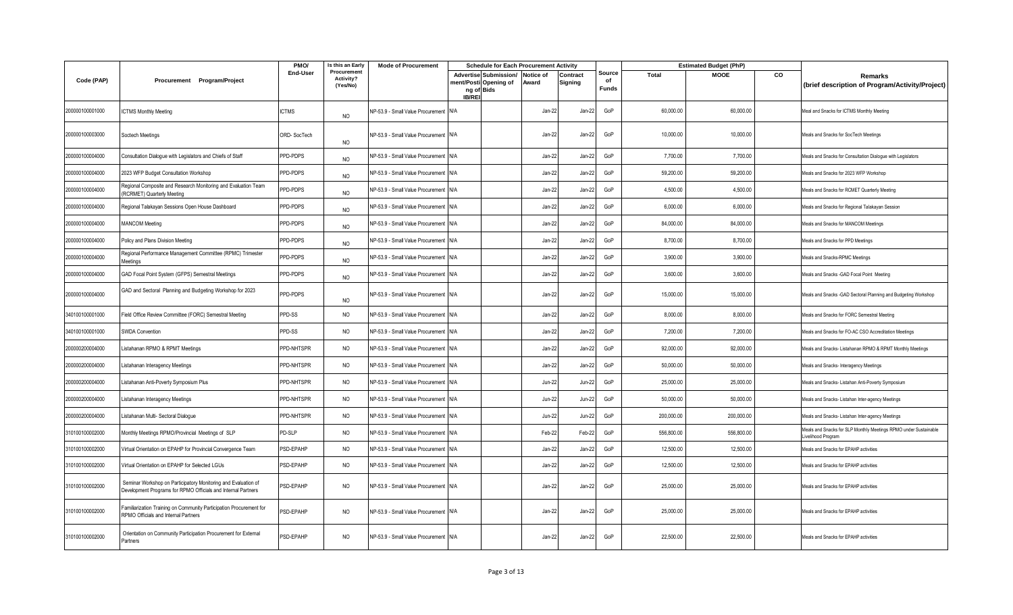|                 |                                                                                                                                 | PMO/            | Is this an Early                     | <b>Mode of Procurement</b>            |               | <b>Schedule for Each Procurement Activity</b>                          |               |                     |                              |              | <b>Estimated Budget (PhP)</b> |           |                                                                                       |
|-----------------|---------------------------------------------------------------------------------------------------------------------------------|-----------------|--------------------------------------|---------------------------------------|---------------|------------------------------------------------------------------------|---------------|---------------------|------------------------------|--------------|-------------------------------|-----------|---------------------------------------------------------------------------------------|
| Code (PAP)      | Procurement Program/Project                                                                                                     | End-User        | Procurement<br>Activity?<br>(Yes/No) |                                       | <b>IB/REI</b> | Advertise Submission/ Notice of<br>ment/Posti Opening of<br>ng of Bids | Award         | Contract<br>Signing | Source<br>of<br><b>Funds</b> | <b>Total</b> | <b>MOOE</b>                   | <b>CO</b> | <b>Remarks</b><br>(brief description of Program/Activity/Project)                     |
| 200000100001000 | <b>ICTMS Monthly Meeting</b>                                                                                                    | <b>ICTMS</b>    | <b>NO</b>                            | NP-53.9 - Small Value Procurement N/A |               |                                                                        | Jan-22        | Jan-22              | GoP                          | 60,000.00    | 60,000.00                     |           | Meal and Snacks for ICTMS Monthly Meeting                                             |
| 200000100003000 | Soctech Meetings                                                                                                                | ORD-SocTech     | NO                                   | NP-53.9 - Small Value Procurement N/A |               |                                                                        | Jan-22        | Jan-22              | GoP                          | 10,000.00    | 10,000.00                     |           | Meals and Snacks for SocTech Meetings                                                 |
| 200000100004000 | Consultation Dialogue with Legislators and Chiefs of Staff                                                                      | PPD-PDPS        | NO                                   | NP-53.9 - Small Value Procurement N/A |               |                                                                        | Jan-22        | Jan-22              | GoP                          | 7,700.00     | 7,700.00                      |           | Meals and Snacks for Consultation Dialogue with Legislators                           |
| 200000100004000 | 2023 WFP Budget Consultation Workshop                                                                                           | PPD-PDPS        | <b>NO</b>                            | NP-53.9 - Small Value Procurement N/A |               |                                                                        | Jan-22        | Jan-22              | GoP                          | 59,200.00    | 59,200.00                     |           | Meals and Snacks for 2023 WFP Workshop                                                |
| 200000100004000 | Regional Composite and Research Monitoring and Evaluation Team<br>(RCRMET) Quarterly Meeting                                    | PPD-PDPS        | NO                                   | NP-53.9 - Small Value Procurement N/A |               |                                                                        | Jan-22        | Jan-22              | GoP                          | 4,500.00     | 4,500.00                      |           | Meals and Snacks for RCMET Quarterly Meeting                                          |
| 200000100004000 | Regional Talakayan Sessions Open House Dashboard                                                                                | PPD-PDPS        | NO                                   | NP-53.9 - Small Value Procurement N/A |               |                                                                        | Jan-22        | Jan-22              | GoP                          | 6,000.00     | 6,000.00                      |           | Meals and Snacks for Regional Talakayan Session                                       |
| 200000100004000 | <b>MANCOM Meeting</b>                                                                                                           | PPD-PDPS        | <b>NO</b>                            | NP-53.9 - Small Value Procurement N/A |               |                                                                        | Jan-22        | Jan-22              | GoP                          | 84,000.00    | 84,000.00                     |           | Meals and Snacks for MANCOM Meetings                                                  |
| 200000100004000 | Policy and Plans Division Meeting                                                                                               | PPD-PDPS        | <b>NO</b>                            | NP-53.9 - Small Value Procurement N/A |               |                                                                        | Jan-22        | Jan-22              | GoP                          | 8,700.00     | 8,700.00                      |           | Meals and Snacks for PPD Meetings                                                     |
| 200000100004000 | Regional Performance Management Committee (RPMC) Trimester<br>Meetings                                                          | <b>PPD-PDPS</b> | <b>NO</b>                            | NP-53.9 - Small Value Procurement N/A |               |                                                                        | Jan-22        | Jan-22              | GoP                          | 3,900.00     | 3,900.00                      |           | Meals and Snacks-RPMC Meetings                                                        |
| 200000100004000 | GAD Focal Point System (GFPS) Semestral Meetings                                                                                | PPD-PDPS        | <b>NO</b>                            | NP-53.9 - Small Value Procurement N/A |               |                                                                        | Jan-22        | Jan-22              | GoP                          | 3,600.00     | 3,600.00                      |           | Meals and Snacks - GAD Focal Point Meeting                                            |
| 200000100004000 | GAD and Sectoral Planning and Budgeting Workshop for 2023                                                                       | PPD-PDPS        | NO                                   | NP-53.9 - Small Value Procurement N/A |               |                                                                        | Jan-22        | Jan-22              | GoP                          | 15,000.00    | 15,000.00                     |           | Meals and Snacks -GAD Sectoral Planning and Budgeting Workshop                        |
| 340100100001000 | Field Office Review Committee (FORC) Semestral Meeting                                                                          | PPD-SS          | <b>NO</b>                            | NP-53.9 - Small Value Procurement N/A |               |                                                                        | Jan-22        | Jan-22              | GoP                          | 8,000.00     | 8,000.00                      |           | Meals and Snacks for FORC Semestral Meeting                                           |
| 340100100001000 | <b>SWDA Convention</b>                                                                                                          | PPD-SS          | <b>NO</b>                            | NP-53.9 - Small Value Procurement N/A |               |                                                                        | Jan-22        | Jan-22              | GoP                          | 7,200.00     | 7,200.00                      |           | Meals and Snacks for FO-AC CSO Accreditation Meetings                                 |
| 200000200004000 | Listahanan RPMO & RPMT Meetings                                                                                                 | PPD-NHTSPR      | <b>NO</b>                            | NP-53.9 - Small Value Procurement N/A |               |                                                                        | Jan-22        | Jan-22              | GoP                          | 92,000.00    | 92,000.00                     |           | Meals and Snacks- Listahanan RPMO & RPMT Monthly Meetings                             |
| 200000200004000 | Listahanan Interagency Meetings                                                                                                 | PPD-NHTSPR      | NO                                   | NP-53.9 - Small Value Procurement N/A |               |                                                                        | Jan-22        | Jan-22              | GoP                          | 50,000.00    | 50,000.00                     |           | Meals and Snacks- Interagency Meetings                                                |
| 200000200004000 | Listahanan Anti-Poverty Symposium Plus                                                                                          | PPD-NHTSPR      | <b>NO</b>                            | NP-53.9 - Small Value Procurement N/A |               |                                                                        | <b>Jun-22</b> | <b>Jun-22</b>       | GoP                          | 25,000.00    | 25,000.00                     |           | Meals and Snacks- Listahan Anti-Poverty Symposium                                     |
| 200000200004000 | Listahanan Interagency Meetings                                                                                                 | PPD-NHTSPR      | <b>NO</b>                            | NP-53.9 - Small Value Procurement N/A |               |                                                                        | Jun-22        | $Jun-22$            | GoP                          | 50,000.00    | 50,000.00                     |           | Meals and Snacks- Listahan Inter-agency Meetings                                      |
| 200000200004000 | istahanan Multi- Sectoral Dialoque                                                                                              | PPD-NHTSPR      | <b>NO</b>                            | NP-53.9 - Small Value Procurement N/A |               |                                                                        | <b>Jun-22</b> | Jun-22              | GoP                          | 200,000.00   | 200,000.00                    |           | Meals and Snacks-Listahan Inter-agency Meetings                                       |
| 310100100002000 | Monthly Meetings RPMO/Provincial Meetings of SLP                                                                                | PD-SLP          | <b>NO</b>                            | NP-53.9 - Small Value Procurement N/A |               |                                                                        | Feb-22        | Feb-22              | GoP                          | 556,800.00   | 556,800.00                    |           | Meals and Snacks for SLP Monthly Meetings RPMO under Sustainable<br>ivelihood Program |
| 310100100002000 | Virtual Orientation on EPAHP for Provincial Convergence Team                                                                    | <b>SD-EPAHP</b> | <b>NO</b>                            | NP-53.9 - Small Value Procurement N/A |               |                                                                        | Jan-22        | Jan-22              | GoP                          | 12,500.00    | 12,500.00                     |           | Meals and Snacks for EPAHP activities                                                 |
| 310100100002000 | Virtual Orientation on EPAHP for Selected LGUs                                                                                  | PSD-EPAHP       | <b>NO</b>                            | NP-53.9 - Small Value Procurement N/A |               |                                                                        | Jan-22        | Jan-22              | GoP                          | 12,500.00    | 12,500.00                     |           | Meals and Snacks for EPAHP activities                                                 |
| 310100100002000 | Seminar Workshop on Participatory Monitoring and Evaluation of<br>Development Programs for RPMO Officials and Internal Partners | PSD-EPAHP       | NO                                   | NP-53.9 - Small Value Procurement N/A |               |                                                                        | Jan-22        | Jan-22              | GoP                          | 25,000.00    | 25,000.00                     |           | Meals and Snacks for EPAHP activities                                                 |
| 310100100002000 | Familiarization Training on Community Participation Procurement for<br>RPMO Officials and Internal Partners                     | PSD-EPAHP       | <b>NO</b>                            | NP-53.9 - Small Value Procurement N/A |               |                                                                        | Jan-22        | Jan-22              | GoP                          | 25,000.00    | 25,000.00                     |           | Meals and Snacks for EPAHP activities                                                 |
| 310100100002000 | Orientation on Community Participation Procurement for External<br>Partners                                                     | PSD-EPAHP       | <b>NO</b>                            | NP-53.9 - Small Value Procurement N/A |               |                                                                        | Jan-22        | Jan-22              | GoP                          | 22,500.00    | 22,500.00                     |           | Meals and Snacks for EPAHP activities                                                 |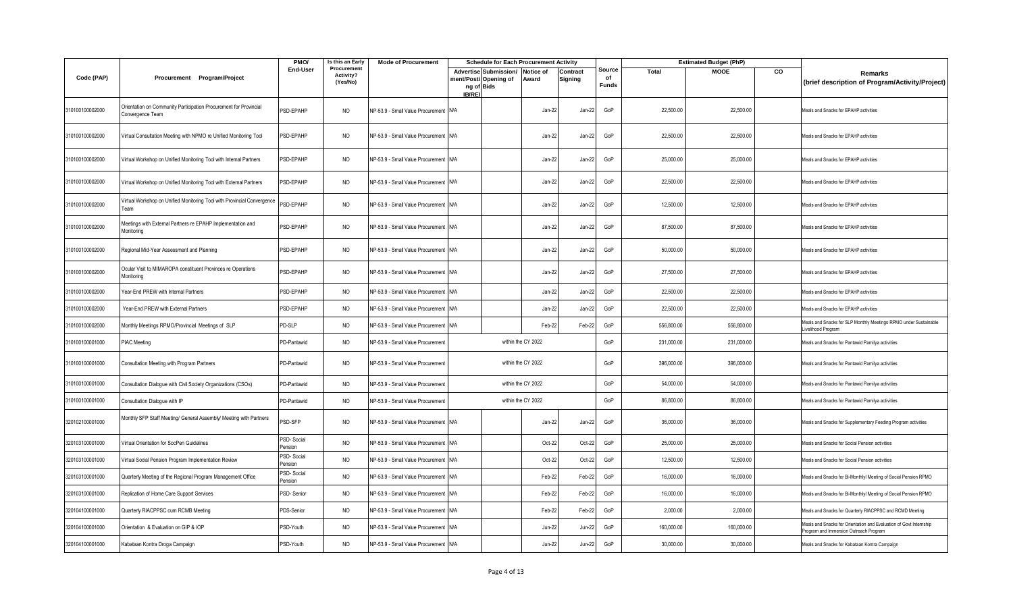|                 |                                                                                       | PMO/                        | Is this an Early                     | <b>Mode of Procurement</b>            |                      | <b>Schedule for Each Procurement Activity</b>            |                    |                     |                              |              | <b>Estimated Budget (PhP)</b> |    |                                                                                                              |
|-----------------|---------------------------------------------------------------------------------------|-----------------------------|--------------------------------------|---------------------------------------|----------------------|----------------------------------------------------------|--------------------|---------------------|------------------------------|--------------|-------------------------------|----|--------------------------------------------------------------------------------------------------------------|
| Code (PAP)      | Procurement Program/Project                                                           | End-User                    | Procurement<br>Activity?<br>(Yes/No) |                                       | ng of Bids<br>IB/REI | Advertise Submission/ Notice of<br>ment/Posti Opening of | Award              | Contract<br>Signing | Source<br>of<br><b>Funds</b> | <b>Total</b> | <b>MOOE</b>                   | CO | Remarks<br>(brief description of Program/Activity/Project)                                                   |
| 310100100002000 | Orientation on Community Participation Procurement for Provincial<br>Convergence Team | PSD-EPAHP                   | <b>NO</b>                            | NP-53.9 - Small Value Procurement N/A |                      |                                                          | Jan-22             | Jan-22              | GoP                          | 22,500.00    | 22,500.00                     |    | Meals and Snacks for EPAHP activities                                                                        |
| 310100100002000 | Virtual Consultation Meeting with NPMO re Unified Monitoring Tool                     | PSD-EPAHP                   | NO.                                  | NP-53.9 - Small Value Procurement N/A |                      |                                                          | Jan-22             | Jan-22              | GoP                          | 22,500.00    | 22,500.00                     |    | Meals and Snacks for EPAHP activities                                                                        |
| 310100100002000 | Virtual Workshop on Unified Monitoring Tool with Internal Partners                    | <b>SD-EPAHP</b>             | <b>NO</b>                            | NP-53.9 - Small Value Procurement N/A |                      |                                                          | Jan-22             | Jan-22              | GoP                          | 25,000.00    | 25,000.00                     |    | Meals and Snacks for EPAHP activities                                                                        |
| 310100100002000 | Virtual Workshop on Unified Monitoring Tool with External Partners                    | PSD-EPAHP                   | NO                                   | NP-53.9 - Small Value Procurement N/A |                      |                                                          | Jan-22             | Jan-22              | GoP                          | 22,500.00    | 22,500.00                     |    | Meals and Snacks for EPAHP activities                                                                        |
| 310100100002000 | Virtual Workshop on Unified Monitoring Tool with Provincial Convergence               | <b>SD-EPAHP</b>             | <b>NO</b>                            | NP-53.9 - Small Value Procurement N/A |                      |                                                          | Jan-22             | Jan-22              | GoP                          | 12,500.00    | 12,500.00                     |    | Meals and Snacks for EPAHP activities                                                                        |
| 310100100002000 | Meetings with External Partners re EPAHP Implementation and<br>Monitoring             | PSD-EPAHP                   | <b>NO</b>                            | NP-53.9 - Small Value Procurement N/A |                      |                                                          | Jan-22             | Jan-22              | GoP                          | 87,500.00    | 87,500.00                     |    | Meals and Snacks for EPAHP activities                                                                        |
| 310100100002000 | Regional Mid-Year Assessment and Planning                                             | PSD-EPAHP                   | <b>NO</b>                            | NP-53.9 - Small Value Procurement N/A |                      |                                                          | Jan-22             | Jan-22              | GoP                          | 50,000.00    | 50,000.00                     |    | Meals and Snacks for EPAHP activities                                                                        |
| 310100100002000 | Ocular Visit to MIMAROPA constituent Provinces re Operations<br>Monitoring            | PSD-EPAHP                   | <b>NO</b>                            | NP-53.9 - Small Value Procurement     | N/A                  |                                                          | Jan-22             | Jan-22              | GoP                          | 27,500.00    | 27,500.00                     |    | Meals and Snacks for EPAHP activities                                                                        |
| 310100100002000 | Year-End PREW with Internal Partners                                                  | PSD-EPAHP                   | <b>NO</b>                            | NP-53.9 - Small Value Procurement     | N/A                  |                                                          | Jan-22             | Jan-22              | GoP                          | 22,500.00    | 22,500.00                     |    | Meals and Snacks for EPAHP activities                                                                        |
| 310100100002000 | Year-End PREW with External Partners                                                  | PSD-EPAHP                   | NO                                   | NP-53.9 - Small Value Procurement     | N/A                  |                                                          | Jan-22             | Jan-22              | GoP                          | 22,500.00    | 22,500.00                     |    | Meals and Snacks for EPAHP activities                                                                        |
| 310100100002000 | Monthly Meetings RPMO/Provincial Meetings of SLP                                      | PD-SLP                      | NO                                   | NP-53.9 - Small Value Procurement     | N/A                  |                                                          | Feb-22             | Feb-22              | GoP                          | 556,800.00   | 556,800.00                    |    | Meals and Snacks for SLP Monthly Meetings RPMO under Sustainable<br>Livelihood Program                       |
| 310100100001000 | PIAC Meeting                                                                          | PD-Pantawid                 | <b>NO</b>                            | NP-53.9 - Small Value Procurement     |                      |                                                          | within the CY 2022 |                     | GoP                          | 231,000.00   | 231,000.00                    |    | Meals and Snacks for Pantawid Pamilya activities                                                             |
| 310100100001000 | Consultation Meeting with Program Partners                                            | PD-Pantawid                 | <b>NO</b>                            | NP-53.9 - Small Value Procurement     |                      |                                                          | within the CY 2022 |                     | GoP                          | 396,000.00   | 396,000.00                    |    | Meals and Snacks for Pantawid Pamilya activities                                                             |
| 310100100001000 | Consultation Dialogue with Civil Society Organizations (CSOs)                         | PD-Pantawid                 | <b>NO</b>                            | NP-53.9 - Small Value Procurement     |                      |                                                          | within the CY 2022 |                     | GoP                          | 54,000.00    | 54,000.00                     |    | Meals and Snacks for Pantawid Pamilya activities                                                             |
| 310100100001000 | Consultation Dialogue with IP                                                         | PD-Pantawid                 | <b>NO</b>                            | NP-53.9 - Small Value Procurement     |                      |                                                          | within the CY 2022 |                     | GoP                          | 86,800.00    | 86,800.00                     |    | Meals and Snacks for Pantawid Pamilya activities                                                             |
| 320102100001000 | Monthly SFP Staff Meeting/ General Assembly/ Meeting with Partners                    | <b>SD-SFP</b>               | <b>NO</b>                            | NP-53.9 - Small Value Procurement N/A |                      |                                                          | Jan-22             | Jan-22              | GoP                          | 36,000.00    | 36,000.00                     |    | Meals and Snacks for Supplementary Feeding Program activities                                                |
| 320103100001000 | Virtual Orientation for SocPen Guidelines                                             | PSD-Social<br>Pension       | <b>NO</b>                            | NP-53.9 - Small Value Procurement     | N/A                  |                                                          | Oct-22             | Oct-22              | GoP                          | 25.000.00    | 25,000.00                     |    | Meals and Snacks for Social Pension activities                                                               |
| 320103100001000 | Virtual Social Pension Program Implementation Review                                  | <b>SD-Social</b><br>Pension | <b>NO</b>                            | NP-53.9 - Small Value Procurement     | N/A                  |                                                          | Oct-22             | Oct-22              | GoP                          | 12,500.00    | 12,500.00                     |    | Meals and Snacks for Social Pension activities                                                               |
| 320103100001000 | Quarterly Meeting of the Regional Program Management Office                           | PSD-Social<br>Pension       | <b>NO</b>                            | NP-53.9 - Small Value Procurement N/A |                      |                                                          | Feb-22             | Feb-22              | GoP                          | 16,000.00    | 16,000.00                     |    | Meals and Snacks for Bi-Monthlyl Meeting of Social Pension RPMO                                              |
| 320103100001000 | Replication of Home Care Support Services                                             | <b>SD-Senior</b>            | <b>NO</b>                            | NP-53.9 - Small Value Procurement     | N/A                  |                                                          | Feb-22             | Feb-22              | GoP                          | 16,000.00    | 16,000.00                     |    | Meals and Snacks for Bi-Monthlyl Meeting of Social Pension RPMO                                              |
| 320104100001000 | Quarterly RIACPPSC cum RCMB Meeting                                                   | PDS-Senior                  | <b>NO</b>                            | NP-53.9 - Small Value Procurement     | N/A                  |                                                          | Feb-22             | Feb-22              | GoP                          | 2,000.00     | 2,000.00                      |    | Meals and Snacks for Quarterly RIACPPSC and RCMD Meeting                                                     |
| 320104100001000 | Orientation & Evaluation on GIP & IOP                                                 | <b>SD-Youth</b>             | <b>NO</b>                            | NP-53.9 - Small Value Procurement N/A |                      |                                                          | <b>Jun-22</b>      | Jun-22              | GoP                          | 160,000.00   | 160,000.00                    |    | Meals and Snacks for Orientation and Evaluation of Govt Internship<br>Program and Immersion Outreach Program |
| 320104100001000 | Kabataan Kontra Droga Campaign                                                        | PSD-Youth                   | <b>NO</b>                            | NP-53.9 - Small Value Procurement N/A |                      |                                                          | <b>Jun-22</b>      | $Jun-22$            | GoP                          | 30,000.00    | 30,000.00                     |    | Meals and Snacks for Kabataan Kontra Campaign                                                                |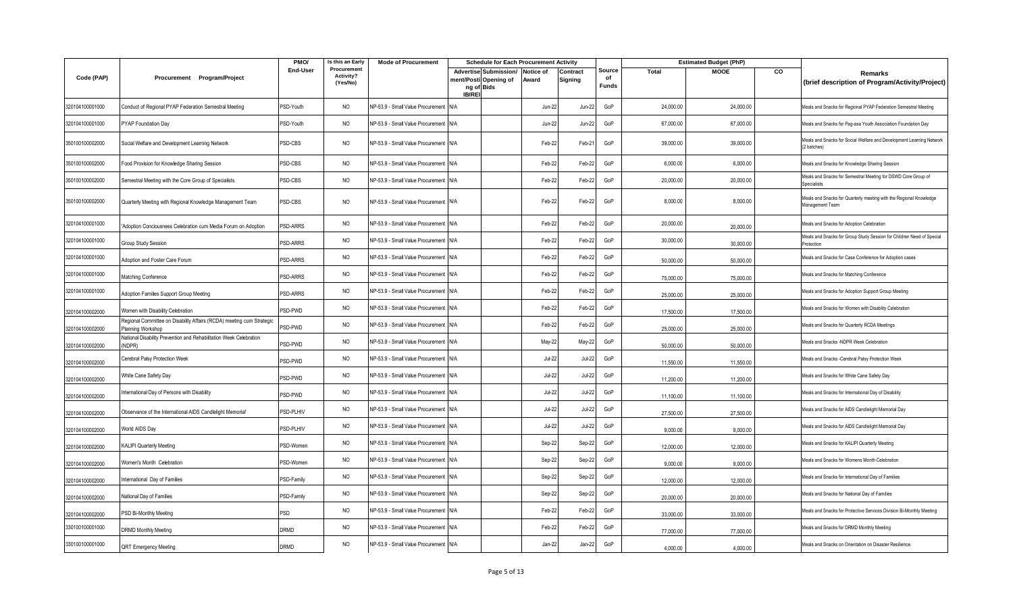|                 |                                                                                            | PMO/                   | Is this an Early                     | <b>Mode of Procurement</b>            | <b>Schedule for Each Procurement Activity</b>                                           |               |                     |                              |              | <b>Estimated Budget (PhP)</b> |    |                                                                                       |
|-----------------|--------------------------------------------------------------------------------------------|------------------------|--------------------------------------|---------------------------------------|-----------------------------------------------------------------------------------------|---------------|---------------------|------------------------------|--------------|-------------------------------|----|---------------------------------------------------------------------------------------|
| Code (PAP)      | Procurement Program/Project                                                                | End-User               | Procurement<br>Activity?<br>(Yes/No) |                                       | Advertise Submission/ Notice of<br>ment/Posti Opening of<br>ng of Bids<br><b>IB/REI</b> | Award         | Contract<br>Signing | Source<br>of<br><b>Funds</b> | <b>Total</b> | <b>MOOE</b>                   | CO | Remarks<br>(brief description of Program/Activity/Project)                            |
| 320104100001000 | Conduct of Regional PYAP Federation Semestral Meeting                                      | PSD-Youth              | <b>NO</b>                            | NP-53.9 - Small Value Procurement N/A |                                                                                         | <b>Jun-22</b> | Jun-22              | GoP                          | 24,000.00    | 24,000.00                     |    | Meals and Snacks for Regional PYAP Federation Semestral Meeting                       |
| 320104100001000 | PYAP Foundation Day                                                                        | PSD-Youth              | <b>NO</b>                            | NP-53.9 - Small Value Procurement N/A |                                                                                         | <b>Jun-22</b> | Jun-22              | GoP                          | 67,000.00    | 67,000.00                     |    | Meals and Snacks for Pag-asa Youth Association Foundation Day                         |
| 350100100002000 | Social Welfare and Development Learning Network                                            | PSD-CBS                | <b>NO</b>                            | NP-53.9 - Small Value Procurement N/A |                                                                                         | Feb-22        | Feb-21              | GoP                          | 39,000.00    | 39,000.00                     |    | Meals and Snacks for Social Welfare and Development Learning Network<br>(2 batches)   |
| 350100100002000 | Food Provision for Knowledge Sharing Session                                               | PSD-CBS                | <b>NO</b>                            | NP-53.9 - Small Value Procurement N/A |                                                                                         | Feb-22        | Feb-22              | GoP                          | 6,000.00     | 6,000.00                      |    | Meals and Snacks for Knowledge Sharing Session                                        |
| 350100100002000 | Semestral Meeting with the Core Group of Specialists                                       | PSD-CBS                | <b>NO</b>                            | NP-53.9 - Small Value Procurement N/A |                                                                                         | Feb-22        | Feb-22              | GoP                          | 20,000.00    | 20,000.00                     |    | Meals and Snacks for Semestral Meeting for DSWD Core Group of<br><b>Specialists</b>   |
| 350100100002000 | Quarterly Meeting with Regional Knowledge Management Team                                  | PSD-CBS                | <b>NO</b>                            | NP-53.9 - Small Value Procurement N/A |                                                                                         | Feb-22        | Feb-22              | GoP                          | 8,000.00     | 8,000.00                      |    | Meals and Snacks for Quarterly meeting with the Regional Knowledge<br>Management Team |
| 320104100001000 | Adoption Conciousness Celebration cum Media Forum on Adoption                              | PSD-ARRS               | <b>NO</b>                            | NP-53.9 - Small Value Procurement N/A |                                                                                         | Feb-22        | Feb-22              | GoP                          | 20,000.00    | 20,000.00                     |    | Meals and Snacks for Adoption Celebration                                             |
| 320104100001000 | Group Study Session                                                                        | PSD-ARRS               | <b>NO</b>                            | NP-53.9 - Small Value Procurement N/A |                                                                                         | Feb-22        | Feb-22              | GoP                          | 30,000.00    | 30,000.00                     |    | Meals and Snacks for Group Study Session for Children Need of Special<br>Protection   |
| 320104100001000 | Adoption and Foster Care Forum                                                             | PSD-ARRS               | <b>NO</b>                            | NP-53.9 - Small Value Procurement N/A |                                                                                         | Feb-22        | Feb-22              | GoP                          | 50,000.00    | 50,000.00                     |    | Meals and Snacks for Case Conference for Adoption cases                               |
| 320104100001000 | Matching Conference                                                                        | PSD-ARRS               | <b>NO</b>                            | NP-53.9 - Small Value Procurement N/A |                                                                                         | Feb-22        | Feb-22              | GoP                          | 75,000.00    | 75,000.00                     |    | Meals and Snacks for Matching Conference                                              |
| 320104100001000 | Adoption Families Support Group Meeting                                                    | PSD-ARRS               | <b>NO</b>                            | NP-53.9 - Small Value Procurement N/A |                                                                                         | Feb-22        | Feb-22              | GoP                          | 25,000.00    | 25,000.00                     |    | Meals and Snacks for Adoption Support Group Meeting                                   |
| 320104100002000 | Women with Disability Celebration                                                          | PSD-PWD                | <b>NO</b>                            | NP-53.9 - Small Value Procurement N/A |                                                                                         | Feb-22        | Feb-22              | GoP                          | 17,500.00    | 17,500.00                     |    | Meals and Snacks for Women with Disablity Celebration                                 |
| 320104100002000 | Regional Committee on Disability Affairs (RCDA) meeting cum Strategic<br>Planning Workshop | PSD-PWD                | <b>NO</b>                            | NP-53.9 - Small Value Procurement N/A |                                                                                         | Feb-22        | Feb-22              | GoP                          | 25,000.00    | 25,000.00                     |    | Meals and Snacks for Quarterly RCDA Meetings                                          |
| 320104100002000 | National Disability Prevention and Rehabilitation Week Celebration<br>(NDPR)               | PSD-PWD                | <b>NO</b>                            | NP-53.9 - Small Value Procurement N/A |                                                                                         | May-22        | May-22              | GoP                          | 50,000.00    | 50,000.00                     |    | Meals and Snacks -NDPR Week Celebration                                               |
| 320104100002000 | Cerebral Palsy Protection Week                                                             | PSD-PWD                | <b>NO</b>                            | NP-53.9 - Small Value Procurement N/A |                                                                                         | <b>Jul-22</b> | Jul-22              | GoP                          | 11,550.00    | 11,550.00                     |    | Meals and Snacks -Cerebral Palsy Protection Week                                      |
| 320104100002000 | White Cane Safety Day                                                                      | PSD-PWD                | NO                                   | NP-53.9 - Small Value Procurement N/A |                                                                                         | <b>Jul-22</b> | Jul-22              | GoP                          | 11,200.00    | 11,200.00                     |    | Meals and Snacks for White Cane Safety Day                                            |
| 320104100002000 | nternational Day of Persons with Disability                                                | PSD-PWD                | NO                                   | NP-53.9 - Small Value Procurement N/A |                                                                                         | <b>Jul-22</b> | Jul-22              | GoP                          | 11,100.00    | 11,100.00                     |    | Meals and Snacks for International Day of Disability                                  |
| 320104100002000 | Observance of the International AIDS Candlelight Memorial'                                 | PSD-PLHIV              | NO                                   | NP-53.9 - Small Value Procurement N/A |                                                                                         | <b>Jul-22</b> | Jul-22              | GoP                          | 27,500.00    | 27,500.00                     |    | Meals and Snacks for AIDS Candlelight Memorial Day                                    |
| 320104100002000 | World AIDS Day                                                                             | PSD-PLHIV              | <b>NO</b>                            | NP-53.9 - Small Value Procurement N/A |                                                                                         | <b>Jul-22</b> | $Jul-22$            | GoP                          | 9,000.00     | 9,000.00                      |    | Meals and Snacks for AIDS Candlelight Memorial Day                                    |
| 320104100002000 | KALIPI Quarterly Meeting                                                                   | PSD-Women              | <b>NO</b>                            | NP-53.9 - Small Value Procurement N/A |                                                                                         | Sep-22        | Sep-22              | GoP                          | 12,000.00    | 12,000.00                     |    | Meals and Snacks for KALIPI Quarterly Meeting                                         |
| 320104100002000 | Women's Month Celebration                                                                  | PSD-Women              | <b>NO</b>                            | NP-53.9 - Small Value Procurement N/A |                                                                                         | Sep-22        | Sep-22              | GoP                          | 9,000.00     | 9,000.00                      |    | Meals and Snacks for Womens Month Celebration                                         |
| 320104100002000 | International Day of Families                                                              | <sup>2</sup> SD-Family | <b>NO</b>                            | NP-53.9 - Small Value Procurement N/A |                                                                                         | Sep-22        | Sep-22              | GoP                          | 12,000.00    | 12,000.00                     |    | Meals and Snacks for International Day of Families                                    |
| 320104100002000 | National Day of Families                                                                   | PSD-Family             | <b>NO</b>                            | NP-53.9 - Small Value Procurement N/A |                                                                                         | Sep-22        | Sep-22              | GoP                          | 20,000.00    | 20,000.00                     |    | Meals and Snacks for National Day of Families                                         |
| 320104100002000 | PSD Bi-Monthly Meeting                                                                     | PSD                    | NO                                   | NP-53.9 - Small Value Procurement N/A |                                                                                         | Feb-22        | Feb-22              | GoP                          | 33,000.00    | 33,000.00                     |    | Meals and Snacks for Protective Services Division Bi-Monthly Meeting                  |
| 330100100001000 | DRMD Monthly Meeting                                                                       | <b>DRMD</b>            | <b>NO</b>                            | NP-53.9 - Small Value Procurement N/A |                                                                                         | Feb-22        | Feb-22              | GoP                          | 77,000.00    | 77,000.00                     |    | Meals and Snacks for DRMD Monthly Meeting                                             |
| 330100100001000 | <b>QRT</b> Emergency Meeting                                                               | <b>DRMD</b>            | <b>NO</b>                            | NP-53.9 - Small Value Procurement N/A |                                                                                         | Jan-22        | Jan-22              | GoP                          | 4,000.00     | 4.000.00                      |    | Meals and Snacks on Orientation on Disaster Resilience                                |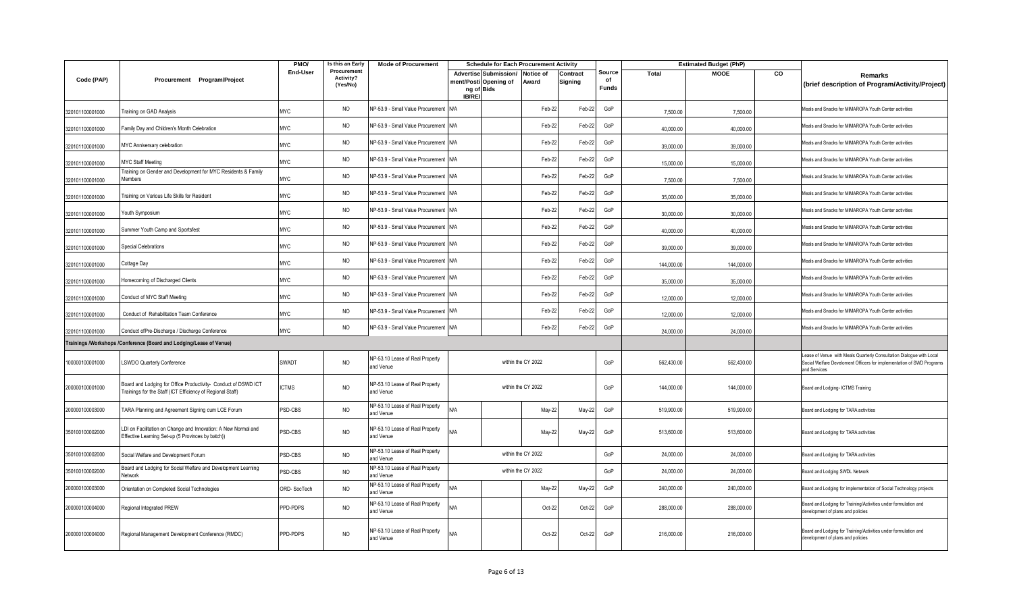|                 |                                                                                                                              | PMO/            | Is this an Early                     | <b>Mode of Procurement</b>                   |               |                                                                        | <b>Schedule for Each Procurement Activity</b> |                     |                              |            | <b>Estimated Budget (PhP)</b> |    |                                                                                                                                                              |
|-----------------|------------------------------------------------------------------------------------------------------------------------------|-----------------|--------------------------------------|----------------------------------------------|---------------|------------------------------------------------------------------------|-----------------------------------------------|---------------------|------------------------------|------------|-------------------------------|----|--------------------------------------------------------------------------------------------------------------------------------------------------------------|
| Code (PAP)      | Procurement Program/Project                                                                                                  | <b>End-User</b> | Procurement<br>Activity?<br>(Yes/No) |                                              | <b>IB/REI</b> | Advertise Submission/ Notice of<br>ment/Posti Opening of<br>ng of Bids | Award                                         | Contract<br>Signing | Source<br>of<br><b>Funds</b> | Total      | <b>MOOE</b>                   | CO | Remarks<br>(brief description of Program/Activity/Project)                                                                                                   |
| 320101100001000 | Fraining on GAD Analysis                                                                                                     | <b>MYC</b>      | <b>NO</b>                            | NP-53.9 - Small Value Procurement N/A        |               |                                                                        | Feb-22                                        | Feb-22              | GoP                          | 7.500.00   | 7.500.00                      |    | Meals and Snacks for MIMAROPA Youth Center activities                                                                                                        |
| 320101100001000 | Family Day and Children's Month Celebration                                                                                  | <b>MYC</b>      | <b>NO</b>                            | NP-53.9 - Small Value Procurement N/A        |               |                                                                        | Feb-22                                        | Feb-22              | GoP                          | 40.000.00  | 40,000.00                     |    | Meals and Snacks for MIMAROPA Youth Center activities                                                                                                        |
| 320101100001000 | MYC Anniversary celebration                                                                                                  | <b>MYC</b>      | <b>NO</b>                            | VP-53.9 - Small Value Procurement N/A        |               |                                                                        | Feb-22                                        | Feb-22              | GoP                          | 39,000.00  | 39,000.00                     |    | Meals and Snacks for MIMAROPA Youth Center activities                                                                                                        |
| 320101100001000 | <b>MYC Staff Meeting</b>                                                                                                     | <b>MYC</b>      | <b>NO</b>                            | NP-53.9 - Small Value Procurement N/A        |               |                                                                        | Feb-22                                        | Feb-22              | GoP                          | 15,000.00  | 15,000.00                     |    | Meals and Snacks for MIMAROPA Youth Center activities                                                                                                        |
| 320101100001000 | raining on Gender and Development for MYC Residents & Family<br>Aembers                                                      | <b>MYC</b>      | <b>NO</b>                            | NP-53.9 - Small Value Procurement N/A        |               |                                                                        | Feb-22                                        | Feb-22              | GoP                          | 7,500.00   | 7,500.00                      |    | Meals and Snacks for MIMAROPA Youth Center activities                                                                                                        |
| 320101100001000 | raining on Various Life Skills for Resident                                                                                  | <b>MYC</b>      | <b>NO</b>                            | VP-53.9 - Small Value Procurement N/A        |               |                                                                        | Feb-22                                        | Feb-22              | GoP                          | 35,000.00  | 35,000.00                     |    | Meals and Snacks for MIMAROPA Youth Center activities                                                                                                        |
| 320101100001000 | Youth Symposium                                                                                                              | <b>MYC</b>      | <b>NO</b>                            | NP-53.9 - Small Value Procurement N/A        |               |                                                                        | Feb-22                                        | Feb-22              | GoP                          | 30,000.00  | 30,000.00                     |    | Meals and Snacks for MIMAROPA Youth Center activities                                                                                                        |
| 320101100001000 | Summer Youth Camp and Sportsfest                                                                                             | <b>MYC</b>      | <b>NO</b>                            | NP-53.9 - Small Value Procurement N/A        |               |                                                                        | Feb-22                                        | Feb-22              | GoP                          | 40.000.00  | 40.000.00                     |    | Meals and Snacks for MIMAROPA Youth Center activities                                                                                                        |
| 320101100001000 | <b>Special Celebrations</b>                                                                                                  | <b>MYC</b>      | <b>NO</b>                            | VP-53.9 - Small Value Procurement N/A        |               |                                                                        | Feb-22                                        | Feb-22              | GoP                          | 39,000.00  | 39,000.00                     |    | Meals and Snacks for MIMAROPA Youth Center activities                                                                                                        |
| 320101100001000 | Cottage Day                                                                                                                  | <b>MYC</b>      | <b>NO</b>                            | NP-53.9 - Small Value Procurement N/A        |               |                                                                        | Feb-22                                        | Feb-22              | GoP                          | 144,000.00 | 144,000.00                    |    | Meals and Snacks for MIMAROPA Youth Center activities                                                                                                        |
| 320101100001000 | Homecoming of Discharged Clients                                                                                             | <b>MYC</b>      | <b>NO</b>                            | NP-53.9 - Small Value Procurement N/A        |               |                                                                        | Feb-22                                        | Feb-22              | GoP                          | 35,000.00  | 35,000.00                     |    | Meals and Snacks for MIMAROPA Youth Center activities                                                                                                        |
| 320101100001000 | Conduct of MYC Staff Meeting                                                                                                 | <b>MYC</b>      | <b>NO</b>                            | NP-53.9 - Small Value Procurement N/A        |               |                                                                        | Feb-22                                        | Feb-22              | GoP                          | 12,000.00  | 12,000.00                     |    | Meals and Snacks for MIMAROPA Youth Center activities                                                                                                        |
| 320101100001000 | Conduct of Rehabilitation Team Conference                                                                                    | <b>MYC</b>      | <b>NO</b>                            | NP-53.9 - Small Value Procurement N/A        |               |                                                                        | Feb-22                                        | Feb-22              | GoP                          | 12,000.00  | 12,000.00                     |    | Meals and Snacks for MIMAROPA Youth Center activities                                                                                                        |
| 320101100001000 | Conduct ofPre-Discharge / Discharge Conference                                                                               | <b>MYC</b>      | <b>NO</b>                            | NP-53.9 - Small Value Procurement N/A        |               |                                                                        | Feb-22                                        | Feb-22              | GoP                          | 24,000.00  | 24,000.00                     |    | Meals and Snacks for MIMAROPA Youth Center activities                                                                                                        |
|                 | Trainings /Workshops /Conference (Board and Lodging/Lease of Venue)                                                          |                 |                                      |                                              |               |                                                                        |                                               |                     |                              |            |                               |    |                                                                                                                                                              |
| 100000100001000 | LSWDO Quarterly Conference                                                                                                   | SWADT           | <b>NO</b>                            | NP-53.10 Lease of Real Property<br>and Venue |               |                                                                        | within the CY 2022                            |                     | GoP                          | 562,430.00 | 562,430.00                    |    | ease of Venue with Meals Quarterly Consultation Dialogue with Local<br>Social Welfare Develoment Officers for implementation of SWD Programs<br>and Services |
| 200000100001000 | Board and Lodging for Office Productivity- Conduct of DSWD ICT<br>Trainings for the Staff (ICT Efficiency of Regional Staff) | <b>ICTMS</b>    | <b>NO</b>                            | NP-53.10 Lease of Real Property<br>and Venue |               |                                                                        | within the CY 2022                            |                     | GoP                          | 144,000.00 | 144,000.00                    |    | Board and Lodging- ICTMS Training                                                                                                                            |
| 200000100003000 | TARA Planning and Agreement Signing cum LCE Forum                                                                            | PSD-CBS         | <b>NO</b>                            | NP-53.10 Lease of Real Property<br>and Venue | N/A           |                                                                        | May-22                                        | May-22              | GoP                          | 519,900.00 | 519,900.00                    |    | Board and Lodging for TARA activities                                                                                                                        |
| 350100100002000 | LDI on Facilitation on Change and Innovation: A New Normal and<br>Effective Learning Set-up (5 Provinces by batch))          | PSD-CBS         | <b>NO</b>                            | NP-53.10 Lease of Real Property<br>and Venue | N/A           |                                                                        | May-22                                        | May-22              | GoP                          | 513,600.00 | 513,600.00                    |    | Board and Lodging for TARA activities                                                                                                                        |
| 350100100002000 | Social Welfare and Development Forum                                                                                         | PSD-CBS         | <b>NO</b>                            | NP-53.10 Lease of Real Property<br>and Venue |               |                                                                        | within the CY 2022                            |                     | GoP                          | 24,000.00  | 24,000.00                     |    | Board and Lodging for TARA activities                                                                                                                        |
| 350100100002000 | Board and Lodging for Social Welfare and Development Learning<br>Network                                                     | PSD-CBS         | <b>NO</b>                            | NP-53.10 Lease of Real Property<br>and Venue |               |                                                                        | within the CY 2022                            |                     | GoP                          | 24,000.00  | 24,000.00                     |    | Board and Lodging SWDL Network                                                                                                                               |
| 200000100003000 | Orientation on Completed Social Technologies                                                                                 | ORD-SocTech     | <b>NO</b>                            | NP-53.10 Lease of Real Property<br>and Venue | N/A           |                                                                        | May-22                                        | May-22              | GoP                          | 240,000.00 | 240,000.00                    |    | Board and Lodging for implementation of Social Technology projects                                                                                           |
| 200000100004000 | Regional Integrated PREW                                                                                                     | PPD-PDPS        | <b>NO</b>                            | NP-53.10 Lease of Real Property<br>and Venue | N/A           |                                                                        | Oct-22                                        | Oct-22              | GoP                          | 288,000.00 | 288,000.00                    |    | Board and Lodging for Training/Activities under formulation and<br>development of plans and policies                                                         |
| 200000100004000 | Regional Management Development Conference (RMDC)                                                                            | PPD-PDPS        | <b>NO</b>                            | VP-53.10 Lease of Real Property<br>and Venue | N/A           |                                                                        | Oct-22                                        | Oct-22              | GoP                          | 216,000.00 | 216,000.00                    |    | Board and Lodging for Training/Activities under formulation and<br>development of plans and policies                                                         |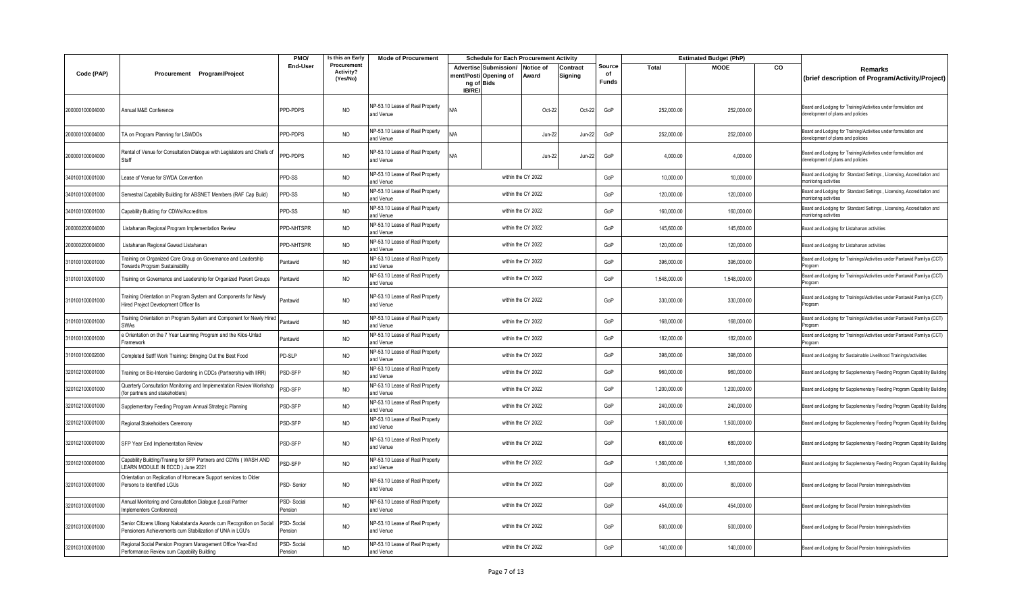|                 |                                                                                                                                   | PMO/                  | Is this an Early                     | <b>Mode of Procurement</b>                   |               | <b>Schedule for Each Procurement Activity</b>                          |                    |                     |                              |              | <b>Estimated Budget (PhP)</b> |    |                                                                                                      |
|-----------------|-----------------------------------------------------------------------------------------------------------------------------------|-----------------------|--------------------------------------|----------------------------------------------|---------------|------------------------------------------------------------------------|--------------------|---------------------|------------------------------|--------------|-------------------------------|----|------------------------------------------------------------------------------------------------------|
| Code (PAP)      | Procurement Program/Project                                                                                                       | <b>End-User</b>       | Procurement<br>Activity?<br>(Yes/No) |                                              | <b>IB/REI</b> | Advertise Submission/ Notice of<br>ment/Posti Opening of<br>ng of Bids | Award              | Contract<br>Signing | Source<br>of<br><b>Funds</b> | <b>Total</b> | <b>MOOE</b>                   | CO | Remarks<br>(brief description of Program/Activity/Project)                                           |
| 200000100004000 | Annual M&E Conference                                                                                                             | PPD-PDPS              | NO                                   | NP-53.10 Lease of Real Property<br>and Venue | N/A           |                                                                        | Oct-22             | Oct-22              | GoP                          | 252,000.00   | 252,000.00                    |    | Board and Lodging for Training/Activities under formulation and<br>development of plans and policies |
| 200000100004000 | TA on Program Planning for LSWDOs                                                                                                 | PPD-PDPS              | <b>NO</b>                            | NP-53.10 Lease of Real Property<br>and Venue | N/A           |                                                                        | <b>Jun-22</b>      | Jun-22              | GoP                          | 252,000.00   | 252,000.00                    |    | Board and Lodging for Training/Activities under formulation and<br>development of plans and policies |
| 200000100004000 | Rental of Venue for Consultation Dialogue with Legislators and Chiefs of<br>Staff                                                 | PPD-PDPS              | <b>NO</b>                            | NP-53.10 Lease of Real Property<br>and Venue | N/A           |                                                                        | <b>Jun-22</b>      | Jun-22              | GoP                          | 4,000.00     | 4,000.00                      |    | Board and Lodging for Training/Activities under formulation and<br>development of plans and policies |
| 340100100001000 | Lease of Venue for SWDA Convention                                                                                                | PPD-SS                | NO                                   | NP-53.10 Lease of Real Property<br>and Venue |               |                                                                        | within the CY 2022 |                     | GoP                          | 10,000.00    | 10,000.00                     |    | Board and Lodging for Standard Settings, Licensing, Accreditation and<br>monitoring activities       |
| 340100100001000 | Semestral Capability Building for ABSNET Members (RAF Cap Build)                                                                  | PPD-SS                | <b>NO</b>                            | NP-53.10 Lease of Real Property<br>and Venue |               |                                                                        | within the CY 2022 |                     | GoP                          | 120,000.00   | 120,000.00                    |    | Board and Lodging for Standard Settings, Licensing, Accreditation and<br>monitoring activities       |
| 340100100001000 | Capability Building for CDWs/Accreditors                                                                                          | PPD-SS                | NO                                   | NP-53.10 Lease of Real Property<br>and Venue |               |                                                                        | within the CY 2022 |                     | GoP                          | 160,000.00   | 160,000.00                    |    | Board and Lodging for Standard Settings, Licensing, Accreditation and<br>monitoring activities       |
| 200000200004000 | Listahanan Regional Program Implementation Review                                                                                 | PPD-NHTSPR            | <b>NO</b>                            | NP-53.10 Lease of Real Property<br>and Venue |               |                                                                        | within the CY 2022 |                     | GoP                          | 145,600.00   | 145,600.00                    |    | Board and Lodging for Listahanan activities                                                          |
| 200000200004000 | Listahanan Regional Gawad Listahanan                                                                                              | PPD-NHTSPR            | <b>NO</b>                            | NP-53.10 Lease of Real Property<br>and Venue |               |                                                                        | within the CY 2022 |                     | GoP                          | 120,000.00   | 120,000.00                    |    | Board and Lodging for Listahanan activities                                                          |
| 310100100001000 | Training on Organized Core Group on Governance and Leadership<br>Towards Program Sustainability                                   | Pantawid              | NO                                   | NP-53.10 Lease of Real Property<br>and Venue |               |                                                                        | within the CY 2022 |                     | GoP                          | 396,000.00   | 396,000.00                    |    | Board and Lodging for Trainings/Activities under Pantawid Pamilya (CCT)<br>Program                   |
| 310100100001000 | Training on Governance and Leadership for Organized Parent Groups                                                                 | Pantawid              | NO                                   | NP-53.10 Lease of Real Property<br>and Venue |               |                                                                        | within the CY 2022 |                     | GoP                          | 1,548,000.00 | 1,548,000.00                  |    | Board and Lodging for Trainings/Activities under Pantawid Pamilya (CCT)<br>Program                   |
| 310100100001000 | Training Orientation on Program System and Components for Newly<br>Hired Project Development Officer IIs                          | Pantawid              | NO                                   | NP-53.10 Lease of Real Property<br>and Venue |               |                                                                        | within the CY 2022 |                     | GoP                          | 330,000.00   | 330,000.00                    |    | Board and Lodging for Trainings/Activities under Pantawid Pamilya (CCT)<br>Program                   |
| 310100100001000 | Training Orientation on Program System and Component for Newly Hired<br><b>SWAs</b>                                               | Pantawid              | NO                                   | NP-53.10 Lease of Real Property<br>and Venue |               |                                                                        | within the CY 2022 |                     | GoP                          | 168,000.00   | 168,000.00                    |    | Board and Lodging for Trainings/Activities under Pantawid Pamilya (CCT)<br>rogram                    |
| 310100100001000 | e Orientation on the 7 Year Learning Program and the Kilos-Unlad<br>Framework                                                     | Pantawid              | <b>NO</b>                            | NP-53.10 Lease of Real Property<br>and Venue |               |                                                                        | within the CY 2022 |                     | GoP                          | 182,000.00   | 182,000.00                    |    | Board and Lodging for Trainings/Activities under Pantawid Pamilya (CCT)<br>Program                   |
| 310100100002000 | Completed Satff Work Training: Bringing Out the Best Food                                                                         | PD-SLP                | NO                                   | NP-53.10 Lease of Real Property<br>and Venue |               |                                                                        | within the CY 2022 |                     | GoP                          | 398,000.00   | 398,000.00                    |    | Board and Lodging for Sustainable Livelihood Trainings/activities                                    |
| 320102100001000 | Training on Bio-Intensive Gardening in CDCs (Partnership with IIRR)                                                               | PSD-SFP               | NO                                   | NP-53.10 Lease of Real Property<br>and Venue |               |                                                                        | within the CY 2022 |                     | GoP                          | 960,000.00   | 960,000.00                    |    | Board and Lodging for Supplementary Feeding Program Capability Building                              |
| 320102100001000 | Quarterly Consultation Monitoring and Implementation Review Workshop<br>(for partners and stakeholders)                           | PSD-SFP               | <b>NO</b>                            | NP-53.10 Lease of Real Property<br>and Venue |               |                                                                        | within the CY 2022 |                     | GoP                          | 1,200,000.00 | 1,200,000.00                  |    | Board and Lodging for Supplementary Feeding Program Capability Building                              |
| 320102100001000 | Supplementary Feeding Program Annual Strategic Planning                                                                           | PSD-SFP               | <b>NO</b>                            | NP-53.10 Lease of Real Property<br>and Venue |               |                                                                        | within the CY 2022 |                     | GoP                          | 240,000.00   | 240,000.00                    |    | Board and Lodging for Supplementary Feeding Program Capability Building                              |
| 320102100001000 | Regional Stakeholders Ceremony                                                                                                    | PSD-SFP               | <b>NO</b>                            | NP-53.10 Lease of Real Property<br>and Venue |               |                                                                        | within the CY 2022 |                     | GoP                          | 1,500,000.00 | 1,500,000.00                  |    | Board and Lodging for Supplementary Feeding Program Capability Building                              |
| 320102100001000 | SFP Year End Implementation Review                                                                                                | PSD-SFP               | <b>NO</b>                            | NP-53.10 Lease of Real Property<br>and Venue |               |                                                                        | within the CY 2022 |                     | GoP                          | 680,000.00   | 680,000.00                    |    | Board and Lodging for Supplementary Feeding Program Capability Building                              |
| 320102100001000 | Capability Building/Traning for SFP Partners and CDWs (WASH AND<br>LEARN MODULE IN ECCD ) June 2021                               | PSD-SFP               | <b>NO</b>                            | NP-53.10 Lease of Real Property<br>and Venue |               |                                                                        | within the CY 2022 |                     | GoP                          | 1,360,000.00 | 1,360,000.00                  |    | Board and Lodging for Supplementary Feeding Program Capability Building                              |
| 320103100001000 | Orientation on Replication of Homecare Support services to Older<br>Persons to Identified LGUs                                    | PSD-Senior            | <b>NO</b>                            | NP-53.10 Lease of Real Property<br>and Venue |               |                                                                        | within the CY 2022 |                     | GoP                          | 80,000.00    | 80,000.00                     |    | Board and Lodging for Social Pension trainings/activities                                            |
| 320103100001000 | Annual Monitoring and Consultation Dialogue (Local Partner<br>Implementers Conference)                                            | PSD-Social<br>Pension | <b>NO</b>                            | NP-53.10 Lease of Real Property<br>and Venue |               |                                                                        | within the CY 2022 |                     | GoP                          | 454,000.00   | 454,000.00                    |    | Board and Lodging for Social Pension trainings/activities                                            |
| 320103100001000 | Senior Citizens Ulirang Nakatatanda Awards cum Recognition on Social<br>Pensioners Achievements cum Stabilization of UNA in LGU's | PSD-Social<br>Pension | <b>NO</b>                            | NP-53.10 Lease of Real Property<br>and Venue |               |                                                                        | within the CY 2022 |                     | GoP                          | 500,000.00   | 500,000.00                    |    | Board and Lodging for Social Pension trainings/activities                                            |
| 320103100001000 | Regional Social Pension Program Management Office Year-End<br>Performance Review cum Capability Building                          | PSD-Social<br>Pension | NO                                   | NP-53.10 Lease of Real Property<br>and Venue |               |                                                                        | within the CY 2022 |                     | GoP                          | 140,000.00   | 140,000.00                    |    | Board and Lodging for Social Pension trainings/activities                                            |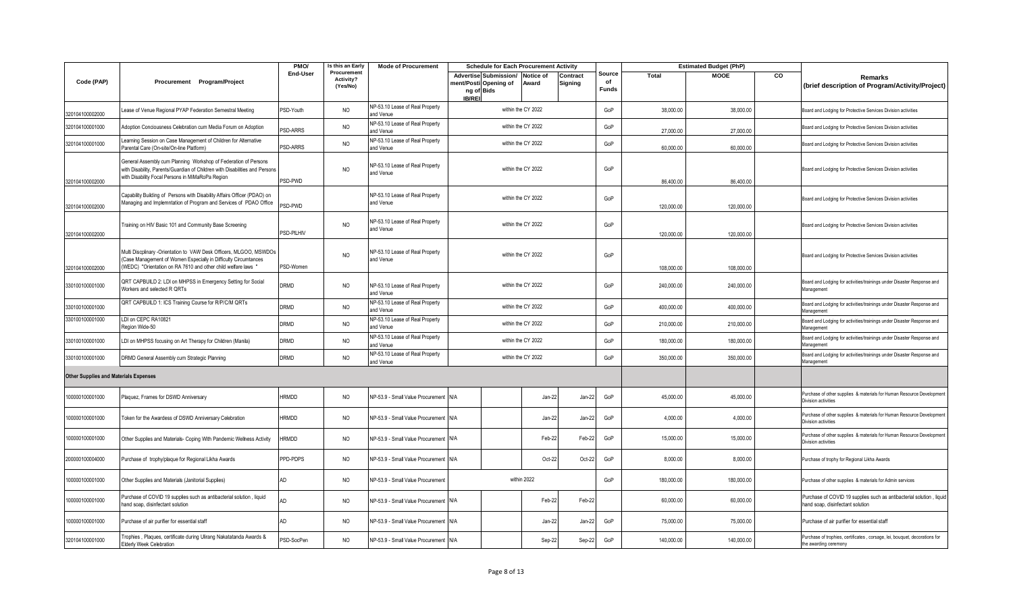|                                              |                                                                                                                                                                                                       | PMO/           | Is this an Early                     | <b>Mode of Procurement</b>                   |                                                      |                                 | <b>Schedule for Each Procurement Activity</b> |                     |                              |            | <b>Estimated Budget (PhP)</b> |    |                                                                                                          |
|----------------------------------------------|-------------------------------------------------------------------------------------------------------------------------------------------------------------------------------------------------------|----------------|--------------------------------------|----------------------------------------------|------------------------------------------------------|---------------------------------|-----------------------------------------------|---------------------|------------------------------|------------|-------------------------------|----|----------------------------------------------------------------------------------------------------------|
| Code (PAP)                                   | Procurement Program/Project                                                                                                                                                                           | End-User       | Procurement<br>Activity?<br>(Yes/No) |                                              | ment/Posti Opening of<br>ng of Bids<br><b>IB/REI</b> | Advertise Submission/ Notice of | Award                                         | Contract<br>Signing | Source<br>of<br><b>Funds</b> | Total      | <b>MOOE</b>                   | CO | Remarks<br>(brief description of Program/Activity/Project)                                               |
| 320104100002000                              | Lease of Venue Regional PYAP Federation Semestral Meeting                                                                                                                                             | PSD-Youth      | NO                                   | NP-53.10 Lease of Real Property<br>and Venue |                                                      |                                 | within the CY 2022                            |                     | GoP                          | 38,000.00  | 38,000.00                     |    | Board and Lodging for Protective Services Division activities                                            |
| 320104100001000                              | Adoption Conciousness Celebration cum Media Forum on Adoption                                                                                                                                         | <b>SD-ARRS</b> | NO                                   | NP-53.10 Lease of Real Property<br>and Venue |                                                      |                                 | within the CY 2022                            |                     | GoP                          | 27,000.00  | 27,000.00                     |    | Board and Lodging for Protective Services Division activities                                            |
| 320104100001000                              | Learning Session on Case Management of Children for Alternative<br>Parental Care (On-site/On-line Platform)                                                                                           | PSD-ARRS       | <b>NO</b>                            | NP-53.10 Lease of Real Property<br>and Venue |                                                      |                                 | within the CY 2022                            |                     | GoP                          | 60,000.00  | 60,000.00                     |    | Board and Lodging for Protective Services Division activities                                            |
| 320104100002000                              | General Assembly cum Planning Workshop of Federation of Persons<br>with Disability, Parents/Guardian of Children with Disabilities and Persons<br>with Disability Focal Persons in MiMaRoPa Region    | PSD-PWD        | NO                                   | NP-53.10 Lease of Real Property<br>and Venue |                                                      |                                 | within the CY 2022                            |                     | GoP                          | 86,400.00  | 86,400.00                     |    | Board and Lodging for Protective Services Division activities                                            |
| 320104100002000                              | Capability Building of Persons with Disability Affairs Officer (PDAO) on<br>Managing and Implemntation of Program and Services of PDAO Office                                                         | PSD-PWD        |                                      | NP-53.10 Lease of Real Property<br>and Venue |                                                      |                                 | within the CY 2022                            |                     | GoP                          | 120,000.00 | 120,000.00                    |    | Board and Lodging for Protective Services Division activities                                            |
| 320104100002000                              | Training on HIV Basic 101 and Community Base Screening                                                                                                                                                | PSD-PILHIV     | NO                                   | NP-53.10 Lease of Real Property<br>and Venue |                                                      |                                 | within the CY 2022                            |                     | GoP                          | 120,000.00 | 120,000.00                    |    | Board and Lodging for Protective Services Division activities                                            |
| 320104100002000                              | Multi Discplinary -Orientation to VAW Desk Officers, MLGOO, MSWDOs<br>Case Management of Women Especially in Difficulty Circumtances<br>(WEDC) "Orientation on RA 7610 and other child welfare laws " | PSD-Women      | <b>NO</b>                            | NP-53.10 Lease of Real Property<br>and Venue |                                                      |                                 | within the CY 2022                            |                     | GoP                          | 108,000.00 | 108,000.00                    |    | Board and Lodging for Protective Services Division activities                                            |
| 330100100001000                              | QRT CAPBUILD 2: LDI on MHPSS in Emergency Setting for Social<br>Workers and selected R QRTs                                                                                                           | DRMD           | <b>NO</b>                            | NP-53.10 Lease of Real Property<br>and Venue |                                                      |                                 | within the CY 2022                            |                     | GoP                          | 240,000.00 | 240,000.00                    |    | Board and Lodging for activities/trainings under Disaster Response and<br>Management                     |
| 330100100001000                              | QRT CAPBUILD 1: ICS Training Course for R/P/C/M QRTs                                                                                                                                                  | DRMD           | <b>NO</b>                            | NP-53.10 Lease of Real Property<br>and Venue |                                                      |                                 | within the CY 2022                            |                     | GoP                          | 400,000.00 | 400,000.00                    |    | Board and Lodging for activities/trainings under Disaster Response and<br>Management                     |
| 330100100001000                              | LDI on CEPC RA10821<br>Region Wide-50                                                                                                                                                                 | DRMD           | <b>NO</b>                            | NP-53.10 Lease of Real Property<br>and Venue |                                                      |                                 | within the CY 2022                            |                     | GoP                          | 210,000.00 | 210,000.00                    |    | Board and Lodging for activities/trainings under Disaster Response and<br>Management                     |
| 330100100001000                              | LDI on MHPSS focusing on Art Therapy for Children (Manila)                                                                                                                                            | DRMD           | <b>NO</b>                            | NP-53.10 Lease of Real Property<br>and Venue |                                                      |                                 | within the CY 2022                            |                     | GoP                          | 180,000.00 | 180,000.00                    |    | Board and Lodging for activities/trainings under Disaster Response and<br>Management                     |
| 330100100001000                              | DRMD General Assembly cum Strategic Planning                                                                                                                                                          | DRMD           | <b>NO</b>                            | NP-53.10 Lease of Real Property<br>and Venue |                                                      |                                 | within the CY 2022                            |                     | GoP                          | 350,000.00 | 350,000.00                    |    | Board and Lodging for activities/trainings under Disaster Response and<br>Management                     |
| <b>Other Supplies and Materials Expenses</b> |                                                                                                                                                                                                       |                |                                      |                                              |                                                      |                                 |                                               |                     |                              |            |                               |    |                                                                                                          |
| 100000100001000                              | Plaquez, Frames for DSWD Anniversary                                                                                                                                                                  | <b>HRMDD</b>   | <b>NO</b>                            | NP-53.9 - Small Value Procurement            | N/A                                                  |                                 | Jan-22                                        | Jan-22              | GoP                          | 45,000.00  | 45,000.00                     |    | Purchase of other supplies & materials for Human Resource Development<br>Division activities             |
| 100000100001000                              | Token for the Awardess of DSWD Anniversary Celebration                                                                                                                                                | <b>HRMDD</b>   | NO                                   | NP-53.9 - Small Value Procurement            | N/A                                                  |                                 | Jan-22                                        | Jan-22              | GoP                          | 4,000.00   | 4,000.00                      |    | Purchase of other supplies & materials for Human Resource Development<br>Division activities             |
| 100000100001000                              | Other Supplies and Materials- Coping With Pandemic Wellness Activity                                                                                                                                  | <b>IRMDD</b>   | <b>NO</b>                            | NP-53.9 - Small Value Procurement N/A        |                                                      |                                 | Feb-22                                        | Feb-22              | GoP                          | 15,000.00  | 15,000.00                     |    | Purchase of other supplies & materials for Human Resource Development<br>Division activities             |
| 200000100004000                              | Purchase of trophy/plaque for Regional Likha Awards                                                                                                                                                   | PPD-PDPS       | <b>NO</b>                            | NP-53.9 - Small Value Procurement N/A        |                                                      |                                 | Oct-22                                        | Oct-22              | GoP                          | 8,000.00   | 8,000.00                      |    | Purchase of trophy for Regional Likha Awards                                                             |
| 100000100001000                              | Other Supplies and Materials (Janitorial Supplies)                                                                                                                                                    | AD             | <b>NO</b>                            | NP-53.9 - Small Value Procurement            |                                                      |                                 | within 2022                                   |                     | GoP                          | 180,000.00 | 180,000.00                    |    | Purchase of other supplies & materials for Admin services                                                |
| 100000100001000                              | Purchase of COVID 19 supplies such as antibacterial solution, liquid<br>hand soap, disinfectant solution                                                                                              | AD             | <b>NO</b>                            | NP-53.9 - Small Value Procurement N/A        |                                                      |                                 | Feb-22                                        | Feb-22              |                              | 60,000.00  | 60,000.00                     |    | Purchase of COVID 19 supplies such as antibacterial solution, liquid<br>hand soap, disinfectant solution |
| 100000100001000                              | Purchase of air purifier for essential staff                                                                                                                                                          | AD             | <b>NO</b>                            | NP-53.9 - Small Value Procurement N/A        |                                                      |                                 | Jan-22                                        | Jan-22              | GoP                          | 75,000.00  | 75,000.00                     |    | Purchase of air purifier for essential staff                                                             |
| 320104100001000                              | Trophies, Plaques, certificate during Ulirang Nakatatanda Awards &<br>Elderly Week Celebration                                                                                                        | PSD-SocPen     | <b>NO</b>                            | NP-53.9 - Small Value Procurement            | N/A                                                  |                                 | Sep-22                                        | Sep-22              | GoP                          | 140,000.00 | 140,000.00                    |    | Purchase of trophies, certificates , corsage, lei, bouquet, decorations for<br>the awarding ceremony     |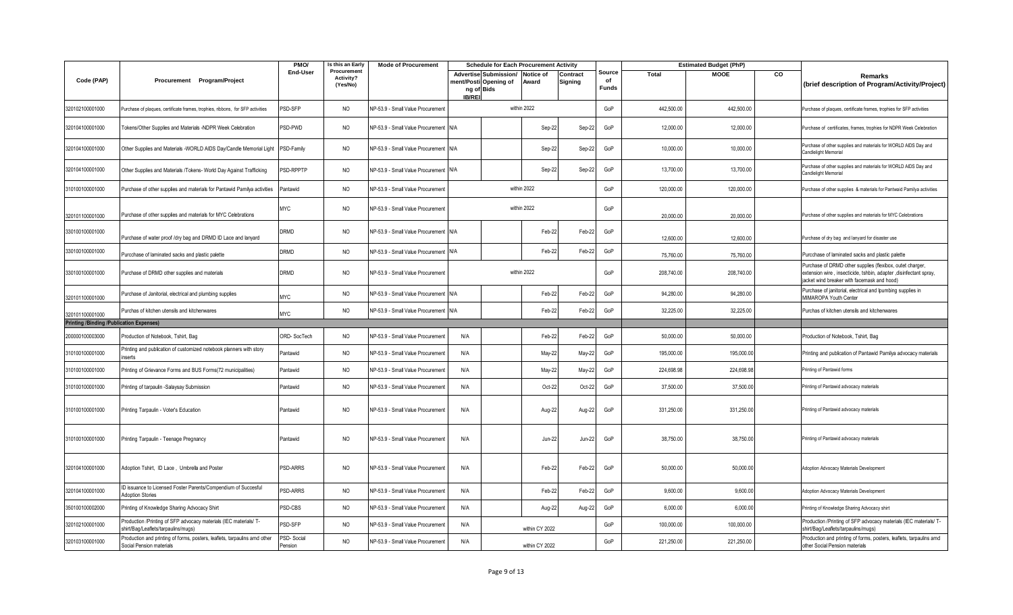|                                                 |                                                                                                          | PMO/                  | Is this an Early                     | <b>Mode of Procurement</b>            |        | <b>Schedule for Each Procurement Activity</b>                       |                           |                     |                              |              | <b>Estimated Budget (PhP)</b> |    |                                                                                                                                                                               |
|-------------------------------------------------|----------------------------------------------------------------------------------------------------------|-----------------------|--------------------------------------|---------------------------------------|--------|---------------------------------------------------------------------|---------------------------|---------------------|------------------------------|--------------|-------------------------------|----|-------------------------------------------------------------------------------------------------------------------------------------------------------------------------------|
| Code (PAP)                                      | Procurement Program/Project                                                                              | <b>End-User</b>       | Procurement<br>Activity?<br>(Yes/No) |                                       | IB/REI | <b>Advertise Submission/</b><br>ment/Posti Opening of<br>ng of Bids | <b>Notice of</b><br>Award | Contract<br>Signing | Source<br>of<br><b>Funds</b> | <b>Total</b> | <b>MOOE</b>                   | CO | Remarks<br>(brief description of Program/Activity/Project)                                                                                                                    |
| 320102100001000                                 | Purchase of plaques, certificate frames, trophies, ribbons, for SFP activities                           | PSD-SFP               | <b>NO</b>                            | NP-53.9 - Small Value Procurement     |        |                                                                     | within 2022               |                     | GoP                          | 442,500.00   | 442,500.00                    |    | Purchase of plaques, certificate frames, trophies for SFP activities                                                                                                          |
| 320104100001000                                 | Tokens/Other Supplies and Materials -NDPR Week Celebration                                               | PSD-PWD               | NO                                   | NP-53.9 - Small Value Procurement N/A |        |                                                                     | Sep-22                    | Sep-22              | GoP                          | 12,000.00    | 12,000.00                     |    | Purchase of certificates, frames, trophies for NDPR Week Celebration                                                                                                          |
| 320104100001000                                 | Other Supplies and Materials -WORLD AIDS Day/Candle Memorial Light                                       | PSD-Family            | <b>NO</b>                            | NP-53.9 - Small Value Procurement N/A |        |                                                                     | Sep-22                    | Sep-22              | GoP                          | 10,000.00    | 10,000.00                     |    | Purchase of other supplies and materials for WORLD AIDS Day and<br>Candlelight Memorial                                                                                       |
| 320104100001000                                 | Other Supplies and Materials /Tokens- World Day Against Trafficking                                      | PSD-RPPTP             | NO.                                  | NP-53.9 - Small Value Procurement N/A |        |                                                                     | Sep-22                    | Sep-22              | GoP                          | 13,700.00    | 13,700.00                     |    | Purchase of other supplies and materials for WORLD AIDS Day and<br>Candlelight Memorial                                                                                       |
| 310100100001000                                 | Purchase of other supplies and materials for Pantawid Pamilya activities                                 | Pantawid              | <b>NO</b>                            | NP-53.9 - Small Value Procurement     |        |                                                                     | within 2022               |                     | GoP                          | 120,000.00   | 120,000.00                    |    | Purchase of other supplies & materials for Pantwaid Pamilya activities                                                                                                        |
| 320101100001000                                 | Purchase of other supplies and materials for MYC Celebrations                                            | <b>MYC</b>            | NO.                                  | NP-53.9 - Small Value Procurement     |        |                                                                     | within 2022               |                     | GoP                          | 20,000.00    | 20,000.00                     |    | Purchase of other supplies and materials for MYC Celebrations                                                                                                                 |
| 330100100001000                                 | Purchase of water proof /dry bag and DRMD ID Lace and lanyard                                            | DRMD                  | NO.                                  | NP-53.9 - Small Value Procurement N/A |        |                                                                     | Feb-22                    | Feb-22              | GoP                          | 12,600.00    | 12,600.00                     |    | Purchase of dry bag and lanyard for disaster use                                                                                                                              |
| 330100100001000                                 | Purcchase of laminated sacks and plastic palette                                                         | DRMD                  | <b>NO</b>                            | NP-53.9 - Small Value Procurement N/A |        |                                                                     | Feb-22                    | Feb-22              | GoP                          | 75,760.00    | 75,760.00                     |    | Purcchase of laminated sacks and plastic palette                                                                                                                              |
| 330100100001000                                 | Purchase of DRMD other supplies and materials                                                            | <b>DRMD</b>           | <b>NO</b>                            | NP-53.9 - Small Value Procurement     |        |                                                                     | within 2022               |                     | GoP                          | 208,740.00   | 208,740.00                    |    | Purchase of DRMD other supplies (flexibox, outet charger,<br>extension wire, insecticide, tshbin, adapter, disinfectant spray,<br>jacket wind breaker with facemask and hood) |
| 320101100001000                                 | Purchase of Janitorial, electrical and plumbing supplies                                                 | <b>MYC</b>            | <b>NO</b>                            | NP-53.9 - Small Value Procurement N/A |        |                                                                     | Feb-22                    | Feb-22              | GoP                          | 94,280.00    | 94,280.00                     |    | Purchase of janitorial, electrical and lpumbing supplies in<br>MIMAROPA Youth Center                                                                                          |
| 320101100001000                                 | Purchas of kitchen utensils and kitchenwares                                                             | <b>MYC</b>            | <b>NO</b>                            | NP-53.9 - Small Value Procurement N/A |        |                                                                     | Feb-22                    | Feb-22              | GoP                          | 32,225.00    | 32,225.00                     |    | Purchas of kitchen utensils and kitchenwares                                                                                                                                  |
| <b>Printing /Binding /Publication Expenses)</b> |                                                                                                          |                       |                                      |                                       |        |                                                                     |                           |                     |                              |              |                               |    |                                                                                                                                                                               |
| 200000100003000                                 | Production of Notebook, Tshirt, Bag                                                                      | ORD-SocTech           | NO                                   | NP-53.9 - Small Value Procurement     | N/A    |                                                                     | Feb-22                    | Feb-22              | GoP                          | 50,000.00    | 50,000.00                     |    | Production of Notebook, Tshirt, Bag                                                                                                                                           |
| 310100100001000                                 | Printing and publication of customized notebook planners with story<br>nserts                            | Pantawid              | <b>NO</b>                            | NP-53.9 - Small Value Procurement     | N/A    |                                                                     | May-22                    | May-22              | GoP                          | 195,000.00   | 195,000.00                    |    | Printing and publication of Pantawid Pamilya advocacy materials                                                                                                               |
| 310100100001000                                 | Printing of Grievance Forms and BUS Forms(72 municipalities)                                             | Pantawid              | <b>NO</b>                            | NP-53.9 - Small Value Procurement     | N/A    |                                                                     | May-22                    | May-22              | GoP                          | 224,698.98   | 224,698.98                    |    | Printing of Pantawid forms                                                                                                                                                    |
| 310100100001000                                 | Printing of tarpaulin -Salaysay Submission                                                               | Pantawid              | NO                                   | NP-53.9 - Small Value Procurement     | N/A    |                                                                     | Oct-22                    | Oct-22              | GoP                          | 37,500.00    | 37,500.00                     |    | Printing of Pantawid advocacy materials                                                                                                                                       |
| 310100100001000                                 | Printing Tarpaulin - Voter's Education                                                                   | Pantawid              | NO                                   | NP-53.9 - Small Value Procurement     | N/A    |                                                                     | Aug-22                    | Aug-22              | GoP                          | 331,250.00   | 331,250.00                    |    | Printing of Pantawid advocacy materials                                                                                                                                       |
| 310100100001000                                 | Printing Tarpaulin - Teenage Pregnancy                                                                   | Pantawid              | NO                                   | NP-53.9 - Small Value Procurement     | N/A    |                                                                     | <b>Jun-22</b>             | Jun-22              | GoP                          | 38,750.00    | 38,750.00                     |    | Printing of Pantawid advocacy materials                                                                                                                                       |
| 320104100001000                                 | Adoption Tshirt, ID Lace, Umbrella and Poster                                                            | <b>PSD-ARRS</b>       | NO.                                  | NP-53.9 - Small Value Procurement     | N/A    |                                                                     | Feb-22                    | Feb-22              | GoP                          | 50,000.00    | 50,000.00                     |    | Adoption Advocacy Materials Development                                                                                                                                       |
| 320104100001000                                 | ID issuance to Licensed Foster Parents/Compendium of Succesful<br><b>Adoption Stories</b>                | PSD-ARRS              | <b>NO</b>                            | NP-53.9 - Small Value Procurement     | N/A    |                                                                     | Feb-22                    | Feb-22              | GoP                          | 9,600.00     | 9,600.0                       |    | Adoption Advocacy Materials Development                                                                                                                                       |
| 350100100002000                                 | Printing of Knowledge Sharing Advocacy Shirt                                                             | PSD-CBS               | NO                                   | NP-53.9 - Small Value Procurement     | N/A    |                                                                     | Aug-22                    | Aug-22              | GoP                          | 6,000.00     | 6,000.00                      |    | Printing of Knowledge Sharing Advocacy shirt                                                                                                                                  |
| 320102100001000                                 | Production /Printing of SFP advocacy materials (IEC materials/ T-<br>shirt/Bag/Leaflets/tarpaulins/mugs) | PSD-SFP               | <b>NO</b>                            | NP-53.9 - Small Value Procurement     | N/A    |                                                                     | within CY 2022            |                     | GoP                          | 100,000.00   | 100,000.00                    |    | Production /Printing of SFP advocacy materials (IEC materials/ T-<br>shirt/Bag/Leaflets/tarpaulins/mugs)                                                                      |
| 320103100001000                                 | Production and printing of forms, posters, leaflets, tarpaulins amd other<br>Social Pension materials    | PSD-Social<br>Pension | <b>NO</b>                            | NP-53.9 - Small Value Procurement     | N/A    |                                                                     | within CY 2022            |                     | GoP                          | 221,250.00   | 221,250.00                    |    | Production and printing of forms, posters, leaflets, tarpaulins amd<br>other Social Pension materials                                                                         |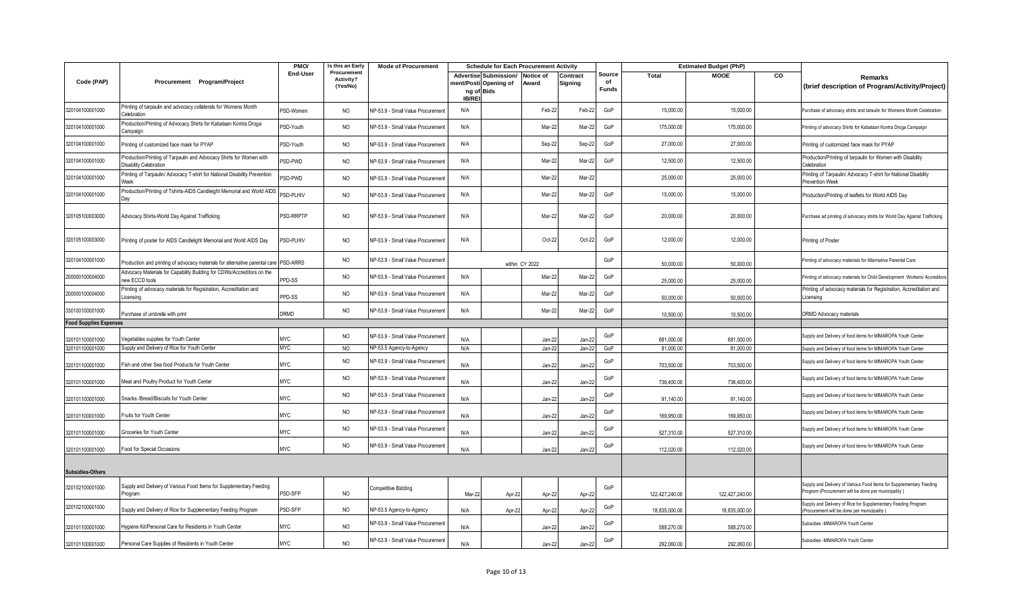|                               |                                                                                              | PMO/        | Is this an Early                     | <b>Mode of Procurement</b>        |                             |                                                       | <b>Schedule for Each Procurement Activity</b> |                     |                              |                | <b>Estimated Budget (PhP)</b> |    |                                                                                                                            |
|-------------------------------|----------------------------------------------------------------------------------------------|-------------|--------------------------------------|-----------------------------------|-----------------------------|-------------------------------------------------------|-----------------------------------------------|---------------------|------------------------------|----------------|-------------------------------|----|----------------------------------------------------------------------------------------------------------------------------|
| Code (PAP)                    | Procurement Program/Project                                                                  | End-User    | Procurement<br>Activity?<br>(Yes/No) |                                   | ng of Bids<br><b>IB/REI</b> | <b>Advertise Submission/</b><br>ment/Posti Opening of | <b>Notice of</b><br>Award                     | Contract<br>Signing | Source<br>of<br><b>Funds</b> | <b>Total</b>   | <b>MOOE</b>                   | CO | Remarks<br>(brief description of Program/Activity/Project)                                                                 |
| 320104100001000               | Printing of tarpaulin and advocacy collaterals for Womens Month<br>Celebration               | PSD-Women   | <b>NO</b>                            | NP-53.9 - Small Value Procurement | N/A                         |                                                       | Feb-22                                        | Feb-22              | GoP                          | 15,000.00      | 15,000.00                     |    | Purchase of advocacy shirts and taraulin for Womens Month Celebration                                                      |
| 320104100001000               | roduction/Printing of Advocacy Shirts for Kabataan Kontra Droga<br>ampaign                   | PSD-Youth   | <b>NO</b>                            | NP-53.9 - Small Value Procurement | N/A                         |                                                       | Mar-22                                        | Mar-22              | GoP                          | 175,000.00     | 175,000.00                    |    | Printing of advocacy Shirts for Kabataan Kontra Droga Campaign                                                             |
| 320104100001000               | Printing of customized face mask for PYAP                                                    | PSD-Youth   | <b>NO</b>                            | NP-53.9 - Small Value Procurement | N/A                         |                                                       | Sep-22                                        | Sep-22              | GoP                          | 27,000.00      | 27,000.00                     |    | Printing of customized face mask for PYAP                                                                                  |
| 320104100001000               | roduction/Printing of Tarpaulin and Advocacy Shirts for Women with<br>Disability Celebration | PSD-PWD     | <b>NO</b>                            | VP-53.9 - Small Value Procurement | N/A                         |                                                       | Mar-22                                        | Mar-22              | GoP                          | 12,500.00      | 12,500.00                     |    | Production/Printing of tarpaulin for Women with Disability<br>Celebration                                                  |
| 320104100001000               | Printing of Tarpaulin/ Advocacy T-shirt for National Disability Prevention                   | PSD-PWD     | <b>NO</b>                            | NP-53.9 - Small Value Procurement | N/A                         |                                                       | Mar-22                                        | Mar-22              |                              | 25,000.00      | 25,000.00                     |    | Printing of Tarpaulin/ Advocacy T-shirt for National Disability<br>Prevention Week                                         |
| 320104100001000               | Production/Printing of Tshirts-AIDS Candleight Memorial and World AIDS<br>)ay                | PSD-PLHIV   | <b>NO</b>                            | VP-53.9 - Small Value Procurement | N/A                         |                                                       | Mar-22                                        | Mar-22              | GoP                          | 15,000.00      | 15,000.00                     |    | Production/Printing of leaflets for World AIDS Day                                                                         |
| 320105100003000               | Advocacy Shirts-World Day Against Trafficking                                                | PSD-RRPTP   | <b>NO</b>                            | NP-53.9 - Small Value Procurement | N/A                         |                                                       | Mar-22                                        | Mar-22              | GoP                          | 20,000.00      | 20,000.00                     |    | Purchase ad printing of advocacy shirts for World Day Against Trafficking                                                  |
| 320105100003000               | Printing of poster for AIDS Candlelight Memorial and World AIDS Day                          | PSD-PLHIV   | <b>NO</b>                            | NP-53.9 - Small Value Procurement | N/A                         |                                                       | Oct-22                                        | Oct-22              | GoP                          | 12,000.00      | 12,000.00                     |    | Printing of Poster                                                                                                         |
| 320104100001000               | Production and printing of advocacy materials for alternative parental care PSD-ARRS         |             | <b>NO</b>                            | VP-53.9 - Small Value Procurement |                             |                                                       | within CY 2022                                |                     | GoP                          | 50,000.00      | 50,000.00                     |    | Printing of advocacy materials for Alternative Parental Care                                                               |
| 200000100004000               | dvocacy Materials for Capability Building for CDWs/Accreditors on the<br>ew ECCD tools       | PPD-SS      | <b>NO</b>                            | VP-53.9 - Small Value Procurement | N/A                         |                                                       | Mar-22                                        | Mar-22              | GoP                          | 25,000.00      | 25,000.00                     |    | Printing of advocacy materials for Child Development Workers/ Accreditors                                                  |
| 200000100004000               | Printing of advocacy materials for Registration, Accreditation and<br>icensing               | PPD-SS      | <b>NO</b>                            | NP-53.9 - Small Value Procurement | N/A                         |                                                       | Mar-22                                        | Mar-22              | GoP                          | 50,000.00      | 50,000.00                     |    | Printing of advocacy materials for Registration, Accreditation and<br>Licensing                                            |
| 330100100001000               | Purchase of umbrella with print                                                              | <b>DRMD</b> | <b>NO</b>                            | VP-53.9 - Small Value Procurement | N/A                         |                                                       | Mar-22                                        | Mar-22              | GoP                          | 10,500.00      | 10,500.00                     |    | DRMD Advocacy materials                                                                                                    |
| <b>Food Supplies Expenses</b> |                                                                                              |             |                                      |                                   |                             |                                                       |                                               |                     |                              |                |                               |    |                                                                                                                            |
| 320101100001000               | egetables supplies for Youth Center                                                          | <b>MYC</b>  | <b>NO</b>                            | NP-53.9 - Small Value Procurement | N/A                         |                                                       | Jan-22                                        | Jan-2               | GoP                          | 681,000.00     | 681,000.00                    |    | Supply and Delivery of food items for MIMAROPA Youth Center                                                                |
| 320101100001000               | Supply and Delivery of Rice for Youth Center                                                 | <b>MAC</b>  | <b>NO</b>                            | NP-53.5 Agency-to-Agency          | N/A                         |                                                       | Jan-22                                        | Jan-22              | GoP                          | 81,000.00      | 81,000.00                     |    | Supply and Delivery of food items for MIMAROPA Youth Center                                                                |
| 320101100001000               | Fish and other Sea food Products for Youth Center                                            | <b>MYC</b>  | <b>NO</b>                            | VP-53.9 - Small Value Procurement | N/A                         |                                                       | Jan-22                                        | Jan-22              | GoP                          | 703,500.00     | 703,500.00                    |    | Supply and Delivery of food items for MIMAROPA Youth Center                                                                |
| 320101100001000               | Meat and Poultry Product for Youth Center                                                    | <b>MYC</b>  | <b>NO</b>                            | NP-53.9 - Small Value Procurement | N/A                         |                                                       | Jan-22                                        | Jan-22              | GoP                          | 736,400.00     | 736,400.00                    |    | Supply and Delivery of food items for MIMAROPA Youth Center                                                                |
| 320101100001000               | Snacks /Bread/Biscuits for Youth Center                                                      | <b>MYC</b>  | <b>NO</b>                            | VP-53.9 - Small Value Procurement | N/A                         |                                                       | Jan-22                                        | Jan-2               | GoP                          | 91,140.00      | 91,140.00                     |    | Supply and Delivery of food items for MIMAROPA Youth Center                                                                |
| 320101100001000               | Fruits for Youth Center                                                                      | <b>MYC</b>  | <b>NO</b>                            | NP-53.9 - Small Value Procurement | N/A                         |                                                       | Jan-22                                        | Jan-22              | GoP                          | 169,950.00     | 169,950.00                    |    | Supply and Delivery of food items for MIMAROPA Youth Center                                                                |
| 320101100001000               | Groceries for Youth Center                                                                   | <b>MYC</b>  | <b>NO</b>                            | VP-53.9 - Small Value Procurement | N/A                         |                                                       | Jan-22                                        | Jan-2               | GoP                          | 527,310.00     | 527,310.00                    |    | Supply and Delivery of food items for MIMAROPA Youth Center                                                                |
| 320101100001000               | Food for Special Occasions                                                                   | <b>MYC</b>  | <b>NO</b>                            | VP-53.9 - Small Value Procurement | N/A                         |                                                       | Jan-22                                        | Jan-22              | GoP                          | 112,020.00     | 112,020.00                    |    | Supply and Delivery of food items for MIMAROPA Youth Center                                                                |
| <b>Subsidies-Others</b>       |                                                                                              |             |                                      |                                   |                             |                                                       |                                               |                     |                              |                |                               |    |                                                                                                                            |
| 320102100001000               | Supply and Delivery of Various Food Items for Supplementary Feeding<br>Program               | PSD-SFP     | <b>NO</b>                            | Competitive Bidding               | Mar-22                      | Apr-22                                                | Apr-22                                        | Apr-22              | GoP                          | 122,427,240.00 | 122,427,240.00                |    | Supply and Delivery of Various Food Items for Supplementary Feeding<br>Program (Procurement will be done per municipality) |
| 320102100001000               | Supply and Delivery of Rice for Supplementary Feeding Program                                | PSD-SFP     | <b>NO</b>                            | NP-53.5 Agency-to-Agency          | N/A                         | Apr-22                                                | Apr-22                                        | Apr-22              | GoP                          | 18,835,000.00  | 18,835,000.00                 |    | Supply and Delivery of Rice for Supplementary Feeding Program<br>Procurement will be done per municipality )               |
| 320101100001000               | Hygiene Kit/Personal Care for Residents in Youth Center                                      | <b>MYC</b>  | <b>NO</b>                            | VP-53.9 - Small Value Procurement | N/A                         |                                                       | Jan-22                                        | Jan-22              | GoP                          | 588,270.00     | 588,270.00                    |    | Subsidies -MIMAROPA Youth Center                                                                                           |
| 320101100001000               | Personal Care Supplies of Residents in Youth Center                                          | <b>MYC</b>  | <b>NO</b>                            | VP-53.9 - Small Value Procurement | N/A                         |                                                       | Jan-22                                        | $Jan-22$            | GoP                          | 292.060.00     | 292.060.00                    |    | Subsidies -MIMAROPA Youth Center                                                                                           |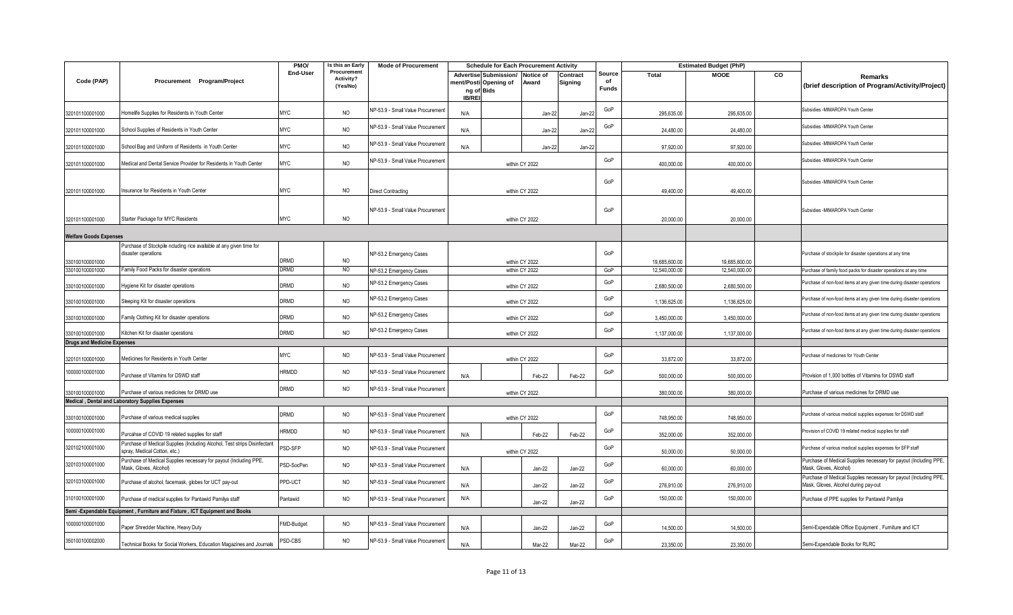|                                    |                                                                                                           | PMO/         | Is this an Early                     | <b>Mode of Procurement</b>        |                             | <b>Schedule for Each Procurement Activity</b>  |                                  |                     |                              |               | <b>Estimated Budget (PhP)</b> |    |                                                                                                           |
|------------------------------------|-----------------------------------------------------------------------------------------------------------|--------------|--------------------------------------|-----------------------------------|-----------------------------|------------------------------------------------|----------------------------------|---------------------|------------------------------|---------------|-------------------------------|----|-----------------------------------------------------------------------------------------------------------|
| Code (PAP)                         | Procurement Program/Project                                                                               | End-User     | Procurement<br>Activity?<br>(Yes/No) |                                   | ng of Bids<br><b>IB/REI</b> | Advertise Submission/<br>ment/Posti Opening of | <b>Notice of</b><br>Award        | Contract<br>Signing | Source<br>of<br><b>Funds</b> | <b>Total</b>  | <b>MOOE</b>                   | CO | Remarks<br>(brief description of Program/Activity/Project)                                                |
| 320101100001000                    | Homelife Supplies for Residents in Youth Center                                                           | <b>MYC</b>   | <b>NO</b>                            | NP-53.9 - Small Value Procurement | N/A                         |                                                | Jan-22                           | Jan-22              | GoP                          | 295,635.00    | 295,635.00                    |    | Subsidies -MIMAROPA Youth Center                                                                          |
| 320101100001000                    | School Supplies of Residents in Youth Center                                                              | <b>MYC</b>   | <b>NO</b>                            | NP-53.9 - Small Value Procurement | N/A                         |                                                | Jan-22                           | Jan-22              | GoP                          | 24,480.00     | 24,480.00                     |    | Subsidies -MIMAROPA Youth Center                                                                          |
| 320101100001000                    | School Bag and Uniform of Residents in Youth Center                                                       | <b>MYC</b>   | NO                                   | NP-53.9 - Small Value Procurement | N/A                         |                                                | Jan-22                           | Jan-22              |                              | 97,920.00     | 97,920.00                     |    | Subsidies - MIMAROPA Youth Center                                                                         |
| 320101100001000                    | Medical and Dental Service Provider for Residents in Youth Center                                         | <b>MYC</b>   | NO                                   | NP-53.9 - Small Value Procurement |                             |                                                | within CY 2022                   |                     | GoP                          | 400,000.00    | 400,000.00                    |    | Subsidies -MIMAROPA Youth Center                                                                          |
| 320101100001000                    | Insurance for Residents in Youth Center                                                                   | <b>MYC</b>   | <b>NO</b>                            | <b>Direct Contracting</b>         |                             |                                                | within CY 2022                   |                     | GoP                          | 49.400.00     | 49,400.00                     |    | Subsidies -MIMAROPA Youth Center                                                                          |
| 320101100001000                    | Starter Package for MYC Residents                                                                         | <b>MYC</b>   | NO                                   | NP-53.9 - Small Value Procurement |                             |                                                | within CY 2022                   |                     | GoP                          | 20,000.00     | 20,000.00                     |    | Subsidies -MIMAROPA Youth Center                                                                          |
| <b>Welfare Goods Expenses</b>      |                                                                                                           |              |                                      |                                   |                             |                                                |                                  |                     |                              |               |                               |    |                                                                                                           |
|                                    | Purchase of Stockpile ncluding rice available at any given time for<br>disaster operations                | DRMD         | <b>NO</b>                            | NP-53.2 Emergency Cases           |                             |                                                |                                  |                     | GoP                          | 19,685,600.00 | 19,685,600.00                 |    | Purchase of stockpile for disaster operations at any time                                                 |
| 330100100001000<br>330100100001000 | Family Food Packs for disaster operations                                                                 | <b>DRMD</b>  | NO                                   | NP-53.2 Emergency Cases           |                             |                                                | within CY 2022<br>within CY 2022 |                     | GoP                          | 12,540,000.00 | 12,540,000.00                 |    | Purchase of family food packs for disaster operations at any time                                         |
| 330100100001000                    | Hygiene Kit for disaster operations                                                                       | <b>DRMD</b>  | NO                                   | NP-53.2 Emergency Cases           |                             |                                                | within CY 2022                   |                     | GoP                          | 2,680,500.00  | 2,680,500.00                  |    | Purchase of non-food items at any given time during disaster operations                                   |
| 330100100001000                    | Sleeping Kit for disaster operations                                                                      | <b>DRMD</b>  | <b>NO</b>                            | NP-53.2 Emergency Cases           |                             |                                                | within CY 2022                   |                     | GoP                          | 1,136,625.00  | 1,136,625.00                  |    | Purchase of non-food items at any given time during disaster operations                                   |
| 330100100001000                    | Family Clothing Kit for disaster operations                                                               | DRMD         | NO                                   | NP-53.2 Emergency Cases           |                             |                                                | within CY 2022                   |                     | GoP                          | 3,450,000.00  | 3,450,000.00                  |    | Purchase of non-food items at any given time during disaster operations                                   |
| 330100100001000                    | Kitchen Kit for disaster operations                                                                       | <b>DRMD</b>  | NO                                   | NP-53.2 Emergency Cases           |                             |                                                | within CY 2022                   |                     | GoP                          | 1,137,000.00  | 1,137,000.00                  |    | Purchase of non-food items at any given time during disaster operations                                   |
| <b>Drugs and Medicine Expenses</b> |                                                                                                           |              |                                      |                                   |                             |                                                |                                  |                     |                              |               |                               |    |                                                                                                           |
| 320101100001000                    | Medicines for Residents in Youth Center                                                                   | <b>MYC</b>   | NO                                   | NP-53.9 - Small Value Procurement |                             |                                                | within CY 2022                   |                     | GoP                          | 33,872.00     | 33,872.00                     |    | Purchase of medicines for Youth Center                                                                    |
| 100000100001000                    | Purchase of Vitamins for DSWD staff                                                                       | <b>HRMDD</b> | <b>NO</b>                            | NP-53.9 - Small Value Procurement | N/A                         |                                                | Feb-22                           | Feb-22              | GoP                          | 500,000.00    | 500,000.00                    |    | Provision of 1,000 bottles of Vitamins for DSWD staff                                                     |
| 330100100001000                    | Purchase of various medicines for DRMD use                                                                | DRMD         | NO                                   | NP-53.9 - Small Value Procurement |                             |                                                | within CY 2022                   |                     |                              | 380,000.00    | 380,000.00                    |    | Purchase of various medicines for DRMD use                                                                |
|                                    | Medical, Dental and Laboratory Supplies Expenses                                                          |              |                                      |                                   |                             |                                                |                                  |                     |                              |               |                               |    |                                                                                                           |
| 330100100001000                    | Purchase of various medical supplies                                                                      | DRMD         | NO                                   | NP-53.9 - Small Value Procurement |                             |                                                | within CY 2022                   |                     | GoP                          | 748,950.00    | 748,950.00                    |    | Purchase of various medical supplies expenses for DSWD staff                                              |
| 100000100001000                    | Purcahse of COVID 19 related supplies for staff                                                           | <b>HRMDD</b> | NO                                   | NP-53.9 - Small Value Procurement | N/A                         |                                                | Feb-22                           | Feb-22              | GoP                          | 352,000.00    | 352,000.00                    |    | Provision of COVID 19 related medical supplies for staff                                                  |
| 320102100001000                    | Purchase of Medical Supplies (Including Alcohol, Test strips Disinfectant<br>spray, Medical Cotton, etc.) | PSD-SFP      | <b>NO</b>                            | NP-53.9 - Small Value Procurement |                             |                                                | within CY 2022                   |                     | GoP                          | 50,000.00     | 50,000.00                     |    | Purchase of various medical supplies expenses for SFP staff                                               |
| 320103100001000                    | Purchase of Medical Supplies necessary for payout (Including PPE,<br>Mask, Gloves, Alcohol)               | PSD-SocPen   | <b>NO</b>                            | NP-53.9 - Small Value Procurement | N/A                         |                                                | $Jan-22$                         | Jan-22              | GoP                          | 60,000.00     | 60,000.00                     |    | Purchase of Medical Supplies necessary for payout (Including PPE,<br>Mask, Gloves, Alcohol)               |
| 320103100001000                    | Purchase of alcohol, facemask, globes for UCT pay-out                                                     | PPD-UCT      | NO                                   | NP-53.9 - Small Value Procurement | N/A                         |                                                | $Jan-22$                         | Jan-22              | GoP                          | 276,910.00    | 276,910.00                    |    | Purchase of Medical Supplies necessary for payout (Including PPE,<br>Mask, Gloves, Alcohol during pay-out |
| 310100100001000                    | Purchase of medical supplies for Pantawid Pamilya staff                                                   | Pantawid     | <b>NO</b>                            | NP-53.9 - Small Value Procurement | N/A                         |                                                | $Jan-22$                         | Jan-22              | GoP                          | 150,000.00    | 150,000.00                    |    | Purchase of PPE supplies for Pantawid Pamilya                                                             |
|                                    | Semi - Expendable Equipment, Furniture and Fixture, ICT Equipment and Books                               |              |                                      |                                   |                             |                                                |                                  |                     |                              |               |                               |    |                                                                                                           |
| 100000100001000                    | Paper Shredder Machine, Heavy Duty                                                                        | FMD-Budget   | <b>NO</b>                            | NP-53.9 - Small Value Procurement | N/A                         |                                                | $Jan-22$                         | Jan-22              | GoP                          | 14,500.00     | 14,500.00                     |    | Semi-Expendable Office Equipment, Furniture and ICT                                                       |
| 350100100002000                    | Technical Books for Social Workers, Education Magazines and Journals                                      | PSD-CBS      | <b>NO</b>                            | NP-53.9 - Small Value Procurement | N/A                         |                                                | Mar-22                           | Mar-22              | GoP                          | 23,350.00     | 23,350.00                     |    | Semi-Expendable Books for RLRC                                                                            |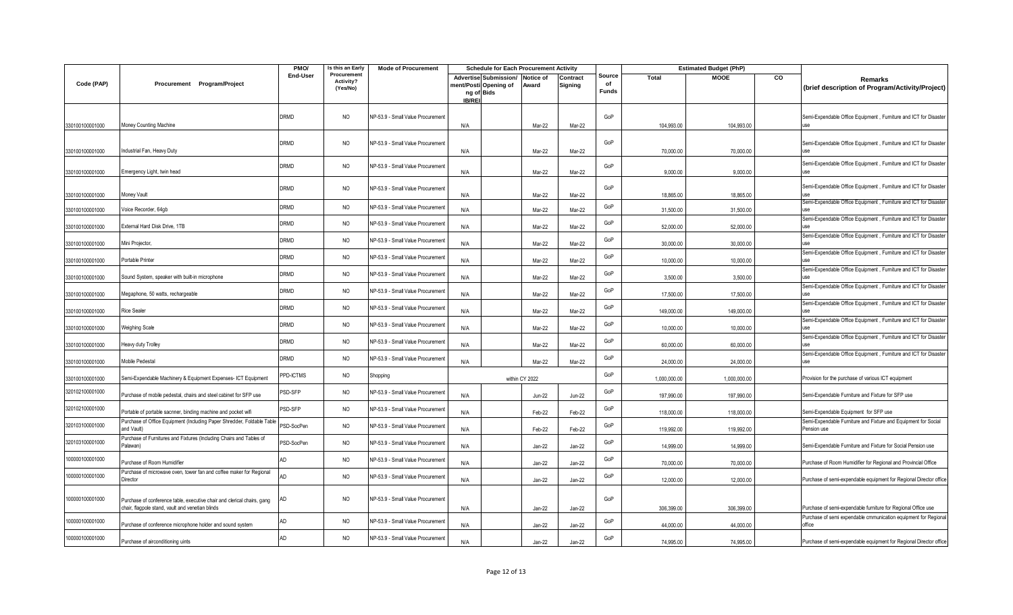|                 |                                                                                                                             | PMO/             | Is this an Early                     | <b>Mode of Procurement</b>        |                             | <b>Schedule for Each Procurement Activity</b>            |                |                     |                              |              | <b>Estimated Budget (PhP)</b> |    |                                                                                 |
|-----------------|-----------------------------------------------------------------------------------------------------------------------------|------------------|--------------------------------------|-----------------------------------|-----------------------------|----------------------------------------------------------|----------------|---------------------|------------------------------|--------------|-------------------------------|----|---------------------------------------------------------------------------------|
| Code (PAP)      | Procurement Program/Project                                                                                                 | End-User         | Procurement<br>Activity?<br>(Yes/No) |                                   | ng of Bids<br><b>IB/REI</b> | Advertise Submission/ Notice of<br>ment/Posti Opening of | Award          | Contract<br>Signing | Source<br>of<br><b>Funds</b> | Total        | <b>MOOE</b>                   | CO | Remarks<br>(brief description of Program/Activity/Project)                      |
| 330100100001000 | Money Counting Machine                                                                                                      | <b>DRMD</b>      | <b>NO</b>                            | NP-53.9 - Small Value Procurement | N/A                         |                                                          | Mar-22         | Mar-22              | GoP                          | 104,993.00   | 104,993.00                    |    | Semi-Expendable Office Equipment, Furniture and ICT for Disaster                |
| 330100100001000 | Industrial Fan, Heavy Duty                                                                                                  | <b>DRMD</b>      | <b>NO</b>                            | NP-53.9 - Small Value Procurement | N/A                         |                                                          | Mar-22         | Mar-22              | GoP                          | 70,000.00    | 70,000.00                     |    | Semi-Expendable Office Equipment, Furniture and ICT for Disaster                |
| 330100100001000 | Emergency Light, twin head                                                                                                  | <b>DRMD</b>      | NO                                   | NP-53.9 - Small Value Procurement | N/A                         |                                                          | Mar-22         | Mar-22              | GoP                          | 9,000.00     | 9,000.00                      |    | Semi-Expendable Office Equipment, Furniture and ICT for Disaster                |
| 330100100001000 | Money Vault                                                                                                                 | <b>DRMD</b>      | <b>NO</b>                            | NP-53.9 - Small Value Procurement | N/A                         |                                                          | Mar-22         | Mar-22              | GoP                          | 18,865.00    | 18,865.00                     |    | Semi-Expendable Office Equipment, Furniture and ICT for Disaster                |
| 330100100001000 | Voice Recorder, 64gb                                                                                                        | <b>DRMD</b>      | <b>NO</b>                            | NP-53.9 - Small Value Procurement | N/A                         |                                                          | Mar-22         | Mar-22              | GoP                          | 31,500.00    | 31,500.00                     |    | Semi-Expendable Office Equipment, Furniture and ICT for Disaster<br><b>IISA</b> |
| 330100100001000 | External Hard Disk Drive, 1TB                                                                                               | <b>DRMD</b>      | <b>NO</b>                            | NP-53.9 - Small Value Procurement | N/A                         |                                                          | Mar-22         | Mar-22              | GoP                          | 52,000.00    | 52,000.00                     |    | Semi-Expendable Office Equipment, Furniture and ICT for Disaster<br><b>IISA</b> |
| 330100100001000 | Mini Projector,                                                                                                             | <b>DRMD</b>      | <b>NO</b>                            | NP-53.9 - Small Value Procurement | N/A                         |                                                          | Mar-22         | Mar-22              | GoP                          | 30,000.00    | 30,000.00                     |    | Semi-Expendable Office Equipment, Furniture and ICT for Disaster                |
| 330100100001000 | Portable Printer                                                                                                            | <b>DRMD</b>      | <b>NO</b>                            | NP-53.9 - Small Value Procurement | N/A                         |                                                          | Mar-22         | Mar-22              | GoP                          | 10,000.00    | 10,000.00                     |    | Semi-Expendable Office Equipment, Furniture and ICT for Disaster                |
| 330100100001000 | Sound System, speaker with built-in microphone                                                                              | DRMD             | <b>NO</b>                            | NP-53.9 - Small Value Procurement | N/A                         |                                                          | Mar-22         | Mar-22              | GoP                          | 3,500.00     | 3,500.00                      |    | Semi-Expendable Office Equipment, Furniture and ICT for Disaste                 |
| 330100100001000 | Megaphone, 50 watts, rechargeable                                                                                           | <b>DRMD</b>      | <b>NO</b>                            | NP-53.9 - Small Value Procurement | N/A                         |                                                          | Mar-22         | Mar-22              | GoP                          | 17,500.00    | 17,500.00                     |    | Semi-Expendable Office Equipment, Furniture and ICT for Disaster                |
| 330100100001000 | Rice Sealer                                                                                                                 | <b>DRMD</b>      | <b>NO</b>                            | NP-53.9 - Small Value Procurement | N/A                         |                                                          | Mar-22         | Mar-22              | GoP                          | 149,000.00   | 149,000.00                    |    | Semi-Expendable Office Equipment, Furniture and ICT for Disaster                |
| 330100100001000 | Weighing Scale                                                                                                              | <b>DRMD</b>      | <b>NO</b>                            | NP-53.9 - Small Value Procurement | N/A                         |                                                          | Mar-22         | Mar-22              | GoP                          | 10,000.00    | 10,000.00                     |    | Semi-Expendable Office Equipment, Furniture and ICT for Disaster                |
| 330100100001000 | Heavy duty Trolley                                                                                                          | DRMD             | <b>NO</b>                            | NP-53.9 - Small Value Procurement | N/A                         |                                                          | Mar-22         | Mar-22              | GoP                          | 60,000.00    | 60,000.00                     |    | Semi-Expendable Office Equipment, Furniture and ICT for Disaster                |
| 330100100001000 | Mobile Pedestal                                                                                                             | <b>DRMD</b>      | <b>NO</b>                            | NP-53.9 - Small Value Procurement | N/A                         |                                                          | Mar-22         | Mar-22              | GoP                          | 24.000.00    | 24.000.00                     |    | Semi-Expendable Office Equipment, Furniture and ICT for Disaster                |
| 330100100001000 | Semi-Expendable Machinery & Equipment Expenses- ICT Equipment                                                               | <b>PPD-ICTMS</b> | <b>NO</b>                            | Shopping                          |                             |                                                          | within CY 2022 |                     | GoP                          | 1,000,000.00 | 1,000,000.00                  |    | Provision for the purchase of various ICT equipment                             |
| 320102100001000 | Purchase of mobile pedestal, chairs and steel cabinet for SFP use                                                           | PSD-SFP          | <b>NO</b>                            | NP-53.9 - Small Value Procurement | N/A                         |                                                          | <b>Jun-22</b>  | <b>Jun-22</b>       | GoP                          | 197,990.00   | 197,990.00                    |    | Semi-Expendable Furniture and Fixture for SFP use                               |
| 320102100001000 | Portable of portable sacnner, binding machine and pocket wifi                                                               | PSD-SFP          | <b>NO</b>                            | NP-53.9 - Small Value Procurement | N/A                         |                                                          | Feb-22         | Feb-22              | GoP                          | 118,000.00   | 118,000.00                    |    | Semi-Expendable Equipment for SFP use                                           |
| 320103100001000 | Purchase of Office Equipment (Including Paper Shredder, Foldable Table<br>and Vault)                                        | PSD-SocPen       | <b>NO</b>                            | NP-53.9 - Small Value Procurement | N/A                         |                                                          | Feb-22         | Feb-22              | GoP                          | 119,992.00   | 119,992.00                    |    | Semi-Expendable Furniture and Fixture and Equipment for Social<br>Pension use   |
| 320103100001000 | Purchase of Furnitures and Fixtures (Including Chairs and Tables of<br>Palawan)                                             | PSD-SocPen       | <b>NO</b>                            | NP-53.9 - Small Value Procurement | N/A                         |                                                          | $Jan-22$       | Jan-22              | GoP                          | 14,999.00    | 14,999.00                     |    | Semi-Expendable Furniture and Fixture for Social Pension use                    |
| 100000100001000 | Purchase of Room Humidifier                                                                                                 |                  | <b>NO</b>                            | NP-53.9 - Small Value Procurement | N/A                         |                                                          | $Jan-22$       | Jan-22              | GoP                          | 70,000.00    | 70,000.00                     |    | Purchase of Room Humidifier for Regional and Provincial Office                  |
| 100000100001000 | Purchase of microwave oven, tower fan and coffee maker for Regional<br>Director                                             |                  | NO                                   | NP-53.9 - Small Value Procurement | N/A                         |                                                          | $Jan-22$       | Jan-22              | GoP                          | 12,000.00    | 12,000.00                     |    | Purchase of semi-expendable equipment for Regional Director office              |
| 100000100001000 | Purchase of conference table, executive chair and clerical chairs, gang<br>chair, flagpole stand, vault and venetian blinds | AD               | NO.                                  | NP-53.9 - Small Value Procurement | N/A                         |                                                          | $Jan-22$       | Jan-22              | GoP                          | 306,399.00   | 306,399.00                    |    | Purchase of semi-expendable furniture for Regional Office use                   |
| 100000100001000 | Purchase of conference microphone holder and sound system                                                                   |                  | <b>NO</b>                            | NP-53.9 - Small Value Procurement | N/A                         |                                                          | $Jan-22$       | Jan-22              | GoP                          | 44,000.00    | 44,000.00                     |    | Purchase of semi expendable cmmunication equipment for Regional<br>office       |
| 100000100001000 | Purchase of airconditioning uints                                                                                           |                  | <b>NO</b>                            | NP-53.9 - Small Value Procurement | N/A                         |                                                          | Jan-22         | Jan-22              | GoP                          | 74,995.00    | 74,995.00                     |    | Purchase of semi-expendable equipment for Regional Director office              |